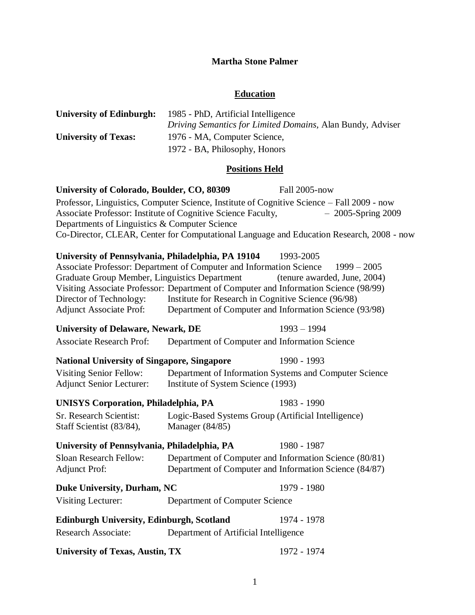## **Martha Stone Palmer**

## **Education**

| <b>University of Edinburgh:</b>                                     | 1985 - PhD, Artificial Intelligence<br>Driving Semantics for Limited Domains, Alan Bundy, Adviser                                       |                                                                                                                                                                                                                |  |  |  |  |  |
|---------------------------------------------------------------------|-----------------------------------------------------------------------------------------------------------------------------------------|----------------------------------------------------------------------------------------------------------------------------------------------------------------------------------------------------------------|--|--|--|--|--|
| <b>University of Texas:</b>                                         | 1976 - MA, Computer Science,                                                                                                            |                                                                                                                                                                                                                |  |  |  |  |  |
|                                                                     | 1972 - BA, Philosophy, Honors                                                                                                           |                                                                                                                                                                                                                |  |  |  |  |  |
| <b>Positions Held</b>                                               |                                                                                                                                         |                                                                                                                                                                                                                |  |  |  |  |  |
| University of Colorado, Boulder, CO, 80309                          |                                                                                                                                         | Fall 2005-now                                                                                                                                                                                                  |  |  |  |  |  |
| Departments of Linguistics & Computer Science                       | Associate Professor: Institute of Cognitive Science Faculty,                                                                            | Professor, Linguistics, Computer Science, Institute of Cognitive Science - Fall 2009 - now<br>$-2005$ -Spring 2009<br>Co-Director, CLEAR, Center for Computational Language and Education Research, 2008 - now |  |  |  |  |  |
| University of Pennsylvania, Philadelphia, PA 19104                  |                                                                                                                                         | 1993-2005                                                                                                                                                                                                      |  |  |  |  |  |
|                                                                     | Associate Professor: Department of Computer and Information Science                                                                     | $1999 - 2005$                                                                                                                                                                                                  |  |  |  |  |  |
| Graduate Group Member, Linguistics Department                       |                                                                                                                                         | (tenure awarded, June, 2004)                                                                                                                                                                                   |  |  |  |  |  |
|                                                                     | Visiting Associate Professor: Department of Computer and Information Science (98/99)                                                    |                                                                                                                                                                                                                |  |  |  |  |  |
| Director of Technology:                                             | Institute for Research in Cognitive Science (96/98)                                                                                     |                                                                                                                                                                                                                |  |  |  |  |  |
| <b>Adjunct Associate Prof:</b>                                      | Department of Computer and Information Science (93/98)                                                                                  |                                                                                                                                                                                                                |  |  |  |  |  |
| <b>University of Delaware, Newark, DE</b>                           |                                                                                                                                         | $1993 - 1994$                                                                                                                                                                                                  |  |  |  |  |  |
| <b>Associate Research Prof:</b>                                     | Department of Computer and Information Science                                                                                          |                                                                                                                                                                                                                |  |  |  |  |  |
| <b>National University of Singapore, Singapore</b>                  |                                                                                                                                         | 1990 - 1993                                                                                                                                                                                                    |  |  |  |  |  |
| <b>Visiting Senior Fellow:</b><br><b>Adjunct Senior Lecturer:</b>   | Institute of System Science (1993)                                                                                                      | Department of Information Systems and Computer Science                                                                                                                                                         |  |  |  |  |  |
| <b>UNISYS Corporation, Philadelphia, PA</b>                         |                                                                                                                                         | 1983 - 1990                                                                                                                                                                                                    |  |  |  |  |  |
| Sr. Research Scientist:<br>Staff Scientist (83/84),                 | Logic-Based Systems Group (Artificial Intelligence)<br>Manager (84/85)                                                                  |                                                                                                                                                                                                                |  |  |  |  |  |
| University of Pennsylvania, Philadelphia, PA                        |                                                                                                                                         | 1980 - 1987                                                                                                                                                                                                    |  |  |  |  |  |
| <b>Adjunct Prof:</b>                                                | Sloan Research Fellow: Department of Computer and Information Science (80/81)<br>Department of Computer and Information Science (84/87) |                                                                                                                                                                                                                |  |  |  |  |  |
| <b>Duke University, Durham, NC</b>                                  |                                                                                                                                         | 1979 - 1980                                                                                                                                                                                                    |  |  |  |  |  |
| <b>Visiting Lecturer:</b>                                           | Department of Computer Science                                                                                                          |                                                                                                                                                                                                                |  |  |  |  |  |
| <b>Edinburgh University, Edinburgh, Scotland</b>                    |                                                                                                                                         | 1974 - 1978                                                                                                                                                                                                    |  |  |  |  |  |
| <b>Research Associate:</b><br>Department of Artificial Intelligence |                                                                                                                                         |                                                                                                                                                                                                                |  |  |  |  |  |
| <b>University of Texas, Austin, TX</b>                              |                                                                                                                                         | 1972 - 1974                                                                                                                                                                                                    |  |  |  |  |  |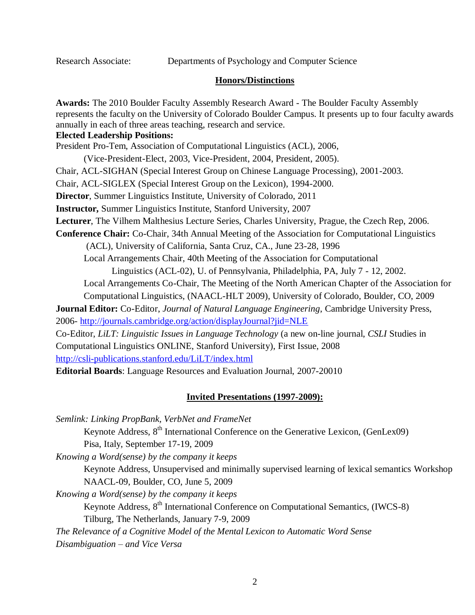Research Associate: Departments of Psychology and Computer Science

#### **Honors/Distinctions**

**Awards:** The 2010 Boulder Faculty Assembly Research Award - The Boulder Faculty Assembly represents the faculty on the University of Colorado Boulder Campus. It presents up to four faculty awards annually in each of three areas teaching, research and service. **Elected Leadership Positions:** President Pro-Tem, Association of Computational Linguistics (ACL), 2006, (Vice-President-Elect, 2003, Vice-President, 2004, President, 2005). Chair, ACL-SIGHAN (Special Interest Group on Chinese Language Processing), 2001-2003. Chair, ACL-SIGLEX (Special Interest Group on the Lexicon), 1994-2000. **Director**, Summer Linguistics Institute, University of Colorado, 2011 **Instructor,** Summer Linguistics Institute, Stanford University, 2007 **Lecturer**, The Vilhem Malthesius Lecture Series, Charles University, Prague, the Czech Rep, 2006. **Conference Chair:** Co-Chair, 34th Annual Meeting of the Association for Computational Linguistics (ACL), University of California, Santa Cruz, CA., June 23-28, 1996 Local Arrangements Chair, 40th Meeting of the Association for Computational Linguistics (ACL-02), U. of Pennsylvania, Philadelphia, PA, July 7 - 12, 2002. Local Arrangements Co-Chair, The Meeting of the North American Chapter of the Association for Computational Linguistics, (NAACL-HLT 2009), University of Colorado, Boulder, CO, 2009 **Journal Editor:** Co-Editor, *Journal of Natural Language Engineering*, Cambridge University Press, 2006- <http://journals.cambridge.org/action/displayJournal?jid=NLE> Co-Editor, *LiLT: Linguistic Issues in Language Technology* (a new on-line journal, *CSLI* Studies in Computational Linguistics ONLINE, Stanford University), First Issue, 2008 <http://csli-publications.stanford.edu/LiLT/index.html> **Editorial Boards**: Language Resources and Evaluation Journal, 2007-20010

## **Invited Presentations (1997-2009):**

*Semlink: Linking PropBank, VerbNet and FrameNet* Keynote Address, 8<sup>th</sup> International Conference on the Generative Lexicon, (GenLex09) Pisa, Italy, September 17-19, 2009 *Knowing a Word(sense) by the company it keeps* Keynote Address, Unsupervised and minimally supervised learning of lexical semantics Workshop NAACL-09, Boulder, CO, June 5, 2009 *Knowing a Word(sense) by the company it keeps* Keynote Address, 8<sup>th</sup> International Conference on Computational Semantics, (IWCS-8) Tilburg, The Netherlands, January 7-9, 2009 *The Relevance of a Cognitive Model of the Mental Lexicon to Automatic Word Sense Disambiguation – and Vice Versa*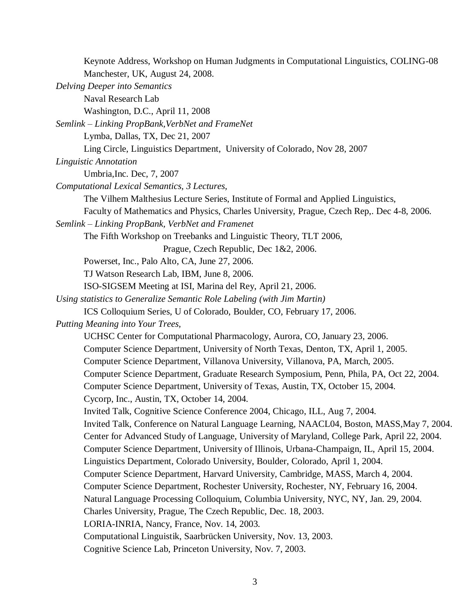Keynote Address, Workshop on Human Judgments in Computational Linguistics, COLING-08 Manchester, UK, August 24, 2008. *Delving Deeper into Semantics* Naval Research Lab Washington, D.C., April 11, 2008 *Semlink – Linking PropBank,VerbNet and FrameNet* Lymba, Dallas, TX, Dec 21, 2007 Ling Circle, Linguistics Department, University of Colorado, Nov 28, 2007 *Linguistic Annotation* Umbria,Inc. Dec, 7, 2007 *Computational Lexical Semantics, 3 Lectures,* The Vilhem Malthesius Lecture Series, Institute of Formal and Applied Linguistics, Faculty of Mathematics and Physics, Charles University, Prague, Czech Rep,. Dec 4-8, 2006. *Semlink – Linking PropBank, VerbNet and Framenet* The Fifth Workshop on Treebanks and Linguistic Theory, TLT 2006, Prague, Czech Republic, Dec 1&2, 2006. Powerset, Inc., Palo Alto, CA, June 27, 2006. TJ Watson Research Lab, IBM, June 8, 2006. ISO-SIGSEM Meeting at ISI, Marina del Rey, April 21, 2006. *Using statistics to Generalize Semantic Role Labeling (with Jim Martin)* ICS Colloquium Series, U of Colorado, Boulder, CO, February 17, 2006. *Putting Meaning into Your Trees,* UCHSC Center for Computational Pharmacology, Aurora, CO, January 23, 2006. Computer Science Department, University of North Texas, Denton, TX, April 1, 2005. Computer Science Department, Villanova University, Villanova, PA, March, 2005. Computer Science Department, Graduate Research Symposium, Penn, Phila, PA, Oct 22, 2004. Computer Science Department, University of Texas, Austin, TX, October 15, 2004. Cycorp, Inc., Austin, TX, October 14, 2004. Invited Talk, Cognitive Science Conference 2004, Chicago, ILL, Aug 7, 2004. Invited Talk, Conference on Natural Language Learning, NAACL04, Boston, MASS,May 7, 2004. Center for Advanced Study of Language, University of Maryland, College Park, April 22, 2004. Computer Science Department, University of Illinois, Urbana-Champaign, IL, April 15, 2004. Linguistics Department, Colorado University, Boulder, Colorado, April 1, 2004. Computer Science Department, Harvard University, Cambridge, MASS, March 4, 2004. Computer Science Department, Rochester University, Rochester, NY, February 16, 2004. Natural Language Processing Colloquium, Columbia University, NYC, NY, Jan. 29, 2004. Charles University, Prague, The Czech Republic, Dec. 18, 2003. LORIA-INRIA, Nancy, France, Nov. 14, 2003. Computational Linguistik, Saarbrücken University, Nov. 13, 2003. Cognitive Science Lab, Princeton University, Nov. 7, 2003.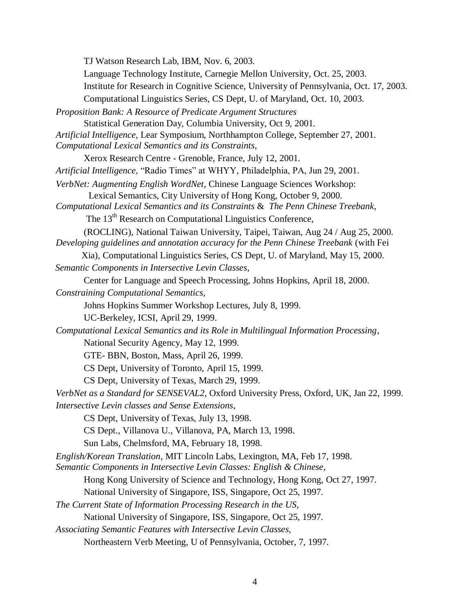4 TJ Watson Research Lab, IBM, Nov. 6, 2003. Language Technology Institute, Carnegie Mellon University, Oct. 25, 2003. Institute for Research in Cognitive Science, University of Pennsylvania, Oct. 17, 2003. Computational Linguistics Series, CS Dept, U. of Maryland, Oct. 10, 2003. *Proposition Bank: A Resource of Predicate Argument Structures* Statistical Generation Day, Columbia University, Oct 9, 2001. *Artificial Intelligence*, Lear Symposium, Northhampton College, September 27, 2001. *Computational Lexical Semantics and its Constraints*, Xerox Research Centre - Grenoble, France, July 12, 2001. *Artificial Intelligence*, "Radio Times" at WHYY, Philadelphia, PA, Jun 29, 2001. *VerbNet: Augmenting English WordNet*, Chinese Language Sciences Workshop: Lexical Semantics, City University of Hong Kong, October 9, 2000. *Computational Lexical Semantics and its Constraints* & *The Penn Chinese Treebank*, The 13<sup>th</sup> Research on Computational Linguistics Conference, (ROCLING), National Taiwan University, Taipei, Taiwan, Aug 24 / Aug 25, 2000. *Developing guidelines and annotation accuracy for the Penn Chinese Treebank* (with Fei Xia), Computational Linguistics Series, CS Dept, U. of Maryland, May 15, 2000. *Semantic Components in Intersective Levin Classes*, Center for Language and Speech Processing, Johns Hopkins, April 18, 2000. *Constraining Computational Semantics*, Johns Hopkins Summer Workshop Lectures, July 8, 1999. UC-Berkeley, ICSI, April 29, 1999. *Computational Lexical Semantics and its Role in Multilingual Information Processing*, National Security Agency, May 12, 1999. GTE- BBN, Boston, Mass, April 26, 1999. CS Dept, University of Toronto, April 15, 1999. CS Dept, University of Texas, March 29, 1999. *VerbNet as a Standard for SENSEVAL2*, Oxford University Press, Oxford, UK, Jan 22, 1999. *Intersective Levin classes and Sense Extensions*, CS Dept, University of Texas, July 13, 1998. CS Dept., Villanova U., Villanova, PA, March 13, 1998. Sun Labs, Chelmsford, MA, February 18, 1998. *English/Korean Translation*, MIT Lincoln Labs, Lexington, MA, Feb 17, 1998. *Semantic Components in Intersective Levin Classes: English & Chinese*, Hong Kong University of Science and Technology, Hong Kong, Oct 27, 1997. National University of Singapore, ISS, Singapore, Oct 25, 1997. *The Current State of Information Processing Research in the US,* National University of Singapore, ISS, Singapore, Oct 25, 1997. *Associating Semantic Features with Intersective Levin Classes,* Northeastern Verb Meeting, U of Pennsylvania, October, 7, 1997.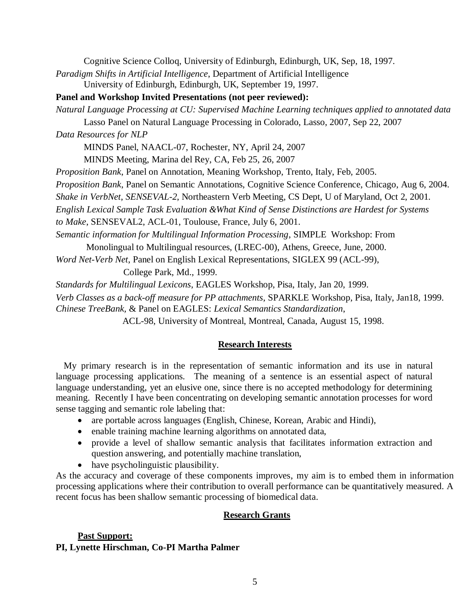Cognitive Science Colloq, University of Edinburgh, Edinburgh, UK, Sep, 18, 1997.

*Paradigm Shifts in Artificial Intelligence*, Department of Artificial Intelligence University of Edinburgh, Edinburgh, UK, September 19, 1997.

**Panel and Workshop Invited Presentations (not peer reviewed):**

*Natural Language Processing at CU: Supervised Machine Learning techniques applied to annotated data*

Lasso Panel on Natural Language Processing in Colorado, Lasso, 2007, Sep 22, 2007

*Data Resources for NLP*

MINDS Panel, NAACL-07, Rochester, NY, April 24, 2007

MINDS Meeting, Marina del Rey, CA, Feb 25, 26, 2007

*Proposition Bank*, Panel on Annotation, Meaning Workshop, Trento, Italy, Feb, 2005.

*Proposition Bank*, Panel on Semantic Annotations, Cognitive Science Conference, Chicago, Aug 6, 2004.

*Shake in VerbNet*, *SENSEVAL-2*, Northeastern Verb Meeting, CS Dept, U of Maryland, Oct 2, 2001.

*English Lexical Sample Task Evaluation &What Kind of Sense Distinctions are Hardest for Systems* 

*to Make*, SENSEVAL2, ACL-01, Toulouse, France, July 6, 2001.

*Semantic information for Multilingual Information Processing*, SIMPLE Workshop: From

Monolingual to Multilingual resources, (LREC-00), Athens, Greece, June, 2000.

*Word Net-Verb Net*, Panel on English Lexical Representations, SIGLEX 99 (ACL-99),

College Park, Md., 1999.

*Standards for Multilingual Lexicons*, EAGLES Workshop, Pisa, Italy, Jan 20, 1999.

*Verb Classes as a back-off measure for PP attachments*, SPARKLE Workshop, Pisa, Italy, Jan18, 1999. *Chinese TreeBank,* & Panel on EAGLES: *Lexical Semantics Standardization*,

ACL-98, University of Montreal, Montreal, Canada, August 15, 1998.

## **Research Interests**

My primary research is in the representation of semantic information and its use in natural language processing applications. The meaning of a sentence is an essential aspect of natural language understanding, yet an elusive one, since there is no accepted methodology for determining meaning. Recently I have been concentrating on developing semantic annotation processes for word sense tagging and semantic role labeling that:

- are portable across languages (English, Chinese, Korean, Arabic and Hindi),
- enable training machine learning algorithms on annotated data,
- provide a level of shallow semantic analysis that facilitates information extraction and question answering, and potentially machine translation,
- have psycholinguistic plausibility.

As the accuracy and coverage of these components improves, my aim is to embed them in information processing applications where their contribution to overall performance can be quantitatively measured. A recent focus has been shallow semantic processing of biomedical data.

## **Research Grants**

# **Past Support:**

## **PI, Lynette Hirschman, Co-PI Martha Palmer**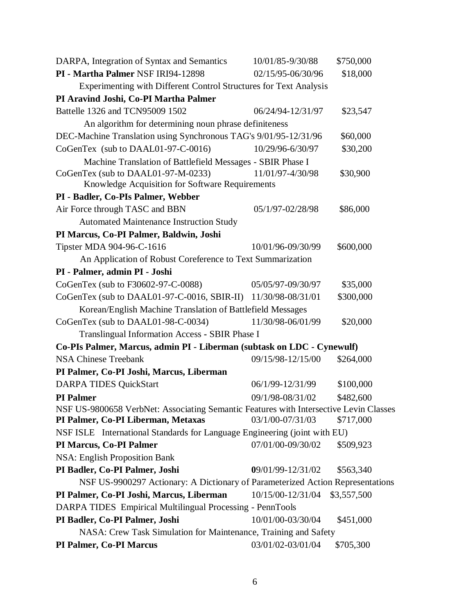| DARPA, Integration of Syntax and Semantics                                            | 10/01/85-9/30/88  | \$750,000   |
|---------------------------------------------------------------------------------------|-------------------|-------------|
| PI - Martha Palmer NSF IRI94-12898                                                    | 02/15/95-06/30/96 | \$18,000    |
| Experimenting with Different Control Structures for Text Analysis                     |                   |             |
| PI Aravind Joshi, Co-PI Martha Palmer                                                 |                   |             |
| Battelle 1326 and TCN95009 1502                                                       | 06/24/94-12/31/97 | \$23,547    |
| An algorithm for determining noun phrase definiteness                                 |                   |             |
| DEC-Machine Translation using Synchronous TAG's 9/01/95-12/31/96                      |                   | \$60,000    |
| CoGenTex (sub to DAAL01-97-C-0016)                                                    | 10/29/96-6/30/97  | \$30,200    |
| Machine Translation of Battlefield Messages - SBIR Phase I                            |                   |             |
| CoGenTex (sub to DAAL01-97-M-0233)<br>Knowledge Acquisition for Software Requirements | 11/01/97-4/30/98  | \$30,900    |
| PI - Badler, Co-PIs Palmer, Webber                                                    |                   |             |
| Air Force through TASC and BBN                                                        | 05/1/97-02/28/98  | \$86,000    |
| <b>Automated Maintenance Instruction Study</b>                                        |                   |             |
| PI Marcus, Co-PI Palmer, Baldwin, Joshi                                               |                   |             |
| Tipster MDA 904-96-C-1616                                                             | 10/01/96-09/30/99 | \$600,000   |
| An Application of Robust Coreference to Text Summarization                            |                   |             |
| PI - Palmer, admin PI - Joshi                                                         |                   |             |
| CoGenTex (sub to F30602-97-C-0088)                                                    | 05/05/97-09/30/97 | \$35,000    |
| CoGenTex (sub to DAAL01-97-C-0016, SBIR-II) 11/30/98-08/31/01                         |                   | \$300,000   |
| Korean/English Machine Translation of Battlefield Messages                            |                   |             |
| CoGenTex (sub to DAAL01-98-C-0034)                                                    | 11/30/98-06/01/99 | \$20,000    |
| Translingual Information Access - SBIR Phase I                                        |                   |             |
| Co-PIs Palmer, Marcus, admin PI - Liberman (subtask on LDC - Cynewulf)                |                   |             |
| <b>NSA Chinese Treebank</b>                                                           | 09/15/98-12/15/00 | \$264,000   |
| PI Palmer, Co-PI Joshi, Marcus, Liberman                                              |                   |             |
| <b>DARPA TIDES QuickStart</b>                                                         | 06/1/99-12/31/99  | \$100,000   |
| <b>PI</b> Palmer                                                                      | 09/1/98-08/31/02  | \$482,600   |
| NSF US-9800658 VerbNet: Associating Semantic Features with Intersective Levin Classes |                   |             |
| PI Palmer, Co-PI Liberman, Metaxas                                                    | 03/1/00-07/31/03  | \$717,000   |
| NSF ISLE International Standards for Language Engineering (joint with EU)             |                   |             |
| PI Marcus, Co-PI Palmer                                                               | 07/01/00-09/30/02 | \$509,923   |
| <b>NSA: English Proposition Bank</b>                                                  |                   |             |
| PI Badler, Co-PI Palmer, Joshi                                                        | 09/01/99-12/31/02 | \$563,340   |
| NSF US-9900297 Actionary: A Dictionary of Parameterized Action Representations        |                   |             |
| PI Palmer, Co-PI Joshi, Marcus, Liberman                                              | 10/15/00-12/31/04 | \$3,557,500 |
| DARPA TIDES Empirical Multilingual Processing - PennTools                             |                   |             |
| PI Badler, Co-PI Palmer, Joshi                                                        | 10/01/00-03/30/04 | \$451,000   |
| NASA: Crew Task Simulation for Maintenance, Training and Safety                       |                   |             |
| <b>PI Palmer, Co-PI Marcus</b>                                                        | 03/01/02-03/01/04 | \$705,300   |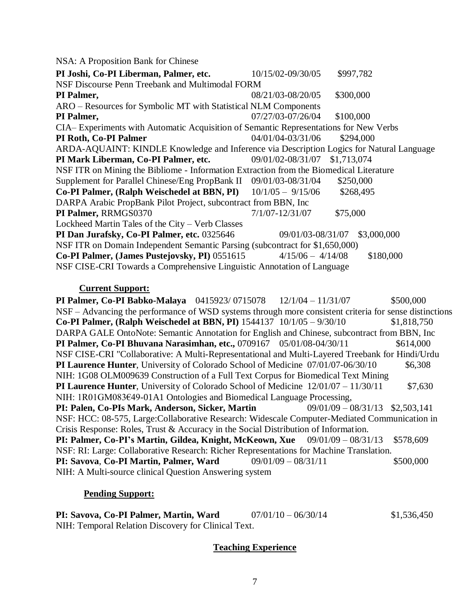NSA: A Proposition Bank for Chinese

| PI Joshi, Co-PI Liberman, Palmer, etc.                                                   | 10/15/02-09/30/05   | \$997,782   |  |
|------------------------------------------------------------------------------------------|---------------------|-------------|--|
| NSF Discourse Penn Treebank and Multimodal FORM                                          |                     |             |  |
| PI Palmer,                                                                               | 08/21/03-08/20/05   | \$300,000   |  |
| ARO - Resources for Symbolic MT with Statistical NLM Components                          |                     |             |  |
| PI Palmer,                                                                               | 07/27/03-07/26/04   | \$100,000   |  |
| CIA-Experiments with Automatic Acquisition of Semantic Representations for New Verbs     |                     |             |  |
| PI Roth, Co-PI Palmer                                                                    | 04/01/04-03/31/06   | \$294,000   |  |
| ARDA-AQUAINT: KINDLE Knowledge and Inference via Description Logics for Natural Language |                     |             |  |
| PI Mark Liberman, Co-PI Palmer, etc.                                                     | 09/01/02-08/31/07   | \$1,713,074 |  |
| NSF ITR on Mining the Bibliome - Information Extraction from the Biomedical Literature   |                     |             |  |
| Supplement for Parallel Chinese/Eng PropBank II 09/01/03-08/31/04                        |                     | \$250,000   |  |
| Co-PI Palmer, (Ralph Weischedel at BBN, PI) 10/1/05 - 9/15/06                            |                     | \$268,495   |  |
| DARPA Arabic PropBank Pilot Project, subcontract from BBN, Inc                           |                     |             |  |
| PI Palmer, RRMGS0370                                                                     | $7/1/07 - 12/31/07$ | \$75,000    |  |
| Lockheed Martin Tales of the City - Verb Classes                                         |                     |             |  |
| PI Dan Jurafsky, Co-PI Palmer, etc. 0325646                                              | 09/01/03-08/31/07   | \$3,000,000 |  |
| NSF ITR on Domain Independent Semantic Parsing (subcontract for \$1,650,000)             |                     |             |  |
| Co-PI Palmer, (James Pustejovsky, PI) 0551615                                            | $4/15/06 - 4/14/08$ | \$180,000   |  |
| NSF CISE-CRI Towards a Comprehensive Linguistic Annotation of Language                   |                     |             |  |

#### **Current Support:**

**PI Palmer, Co-PI Babko-Malaya** 0415923/0715078 12/1/04 – 11/31/07 \$500,000 NSF – Advancing the performance of WSD systems through more consistent criteria for sense distinctions **Co-PI Palmer, (Ralph Weischedel at BBN, PI)** 1544137 10/1/05 – 9/30/10 \$1,818,750 DARPA GALE OntoNote: Semantic Annotation for English and Chinese, subcontract from BBN, Inc **PI Palmer, Co-PI Bhuvana Narasimhan, etc.,** 0709167 05/01/08-04/30/11 \$614,000 NSF CISE-CRI "Collaborative: A Multi-Representational and Multi-Layered Treebank for Hindi/Urdu **PI Laurence Hunter**, University of Colorado School of Medicine 07/01/07-06/30/10 \$6,308 NIH: 1G08 OLM009639 Construction of a Full Text Corpus for Biomedical Text Mining **PI Laurence Hunter**, University of Colorado School of Medicine  $12/01/07 - 11/30/11$  \$7,630 NIH: 1R01GM083€49-01A1 Ontologies and Biomedical Language Processing,<br>**PI: Palen. Co-PIs Mark. Anderson. Sicker. Martin** 09/01/09 – 08/31/13 \$2,503,141 **PI: Palen, Co-PIs Mark, Anderson, Sicker, Martin** NSF: HCC: 08-575, Large:Collaborative Research: Widescale Computer-Mediated Communication in Crisis Response: Roles, Trust & Accuracy in the Social Distribution of Information. **PI: Palmer, Co-PI's Martin, Gildea, Knight, McKeown, Xue** 09/01/09 – 08/31/13 \$578,609 NSF: RI: Large: Collaborative Research: Richer Representations for Machine Translation. **PI: Savova, Co-PI Martin, Palmer, Ward** 09/01/09 – 08/31/11 \$500,000 NIH: A Multi-source clinical Question Answering system

#### **Pending Support:**

**PI: Savova, Co-PI Palmer, Martin, Ward**  $07/01/10 - 06/30/14$  \$1,536,450 NIH: Temporal Relation Discovery for Clinical Text.

## **Teaching Experience**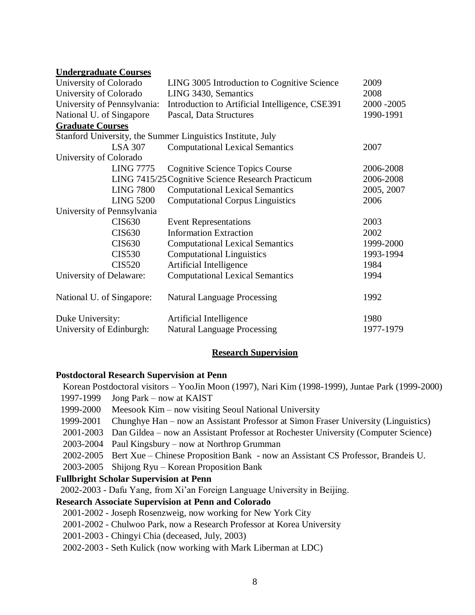#### **Undergraduate Courses**

| University of Colorado      | LING 3005 Introduction to Cognitive Science                 | 2009        |
|-----------------------------|-------------------------------------------------------------|-------------|
| University of Colorado      | LING 3430, Semantics                                        | 2008        |
| University of Pennsylvania: | Introduction to Artificial Intelligence, CSE391             | 2000 - 2005 |
| National U. of Singapore    | Pascal, Data Structures                                     | 1990-1991   |
| <b>Graduate Courses</b>     |                                                             |             |
|                             | Stanford University, the Summer Linguistics Institute, July |             |
| <b>LSA 307</b>              | <b>Computational Lexical Semantics</b>                      | 2007        |
| University of Colorado      |                                                             |             |
| <b>LING 7775</b>            | <b>Cognitive Science Topics Course</b>                      | 2006-2008   |
|                             | LING 7415/25 Cognitive Science Research Practicum           | 2006-2008   |
| <b>LING 7800</b>            | <b>Computational Lexical Semantics</b>                      | 2005, 2007  |
| <b>LING 5200</b>            | <b>Computational Corpus Linguistics</b>                     | 2006        |
| University of Pennsylvania  |                                                             |             |
| <b>CIS630</b>               | <b>Event Representations</b>                                | 2003        |
| <b>CIS630</b>               | <b>Information Extraction</b>                               | 2002        |
| <b>CIS630</b>               | <b>Computational Lexical Semantics</b>                      | 1999-2000   |
| <b>CIS530</b>               | <b>Computational Linguistics</b>                            | 1993-1994   |
| <b>CIS520</b>               | Artificial Intelligence                                     | 1984        |
| University of Delaware:     | <b>Computational Lexical Semantics</b>                      | 1994        |
| National U. of Singapore:   | <b>Natural Language Processing</b>                          | 1992        |
| Duke University:            | Artificial Intelligence                                     | 1980        |
| University of Edinburgh:    | <b>Natural Language Processing</b>                          | 1977-1979   |

#### **Research Supervision**

#### **Postdoctoral Research Supervision at Penn**

Korean Postdoctoral visitors – YooJin Moon (1997), Nari Kim (1998-1999), Juntae Park (1999-2000) 1997-1999 Jong Park – now at KAIST

- 1999-2000 Meesook Kim now visiting Seoul National University
- 1999-2001 Chunghye Han now an Assistant Professor at Simon Fraser University (Linguistics)
- 2001-2003 Dan Gildea now an Assistant Professor at Rochester University (Computer Science)
- 2003-2004 Paul Kingsbury now at Northrop Grumman
- 2002-2005 Bert Xue Chinese Proposition Bank now an Assistant CS Professor, Brandeis U.
- 2003-2005 Shijong Ryu Korean Proposition Bank

#### **Fullbright Scholar Supervision at Penn**

2002-2003 - Dafu Yang, from Xi'an Foreign Language University in Beijing.

#### **Research Associate Supervision at Penn and Colorado**

- 2001-2002 Joseph Rosenzweig, now working for New York City
- 2001-2002 Chulwoo Park, now a Research Professor at Korea University
- 2001-2003 Chingyi Chia (deceased, July, 2003)
- 2002-2003 Seth Kulick (now working with Mark Liberman at LDC)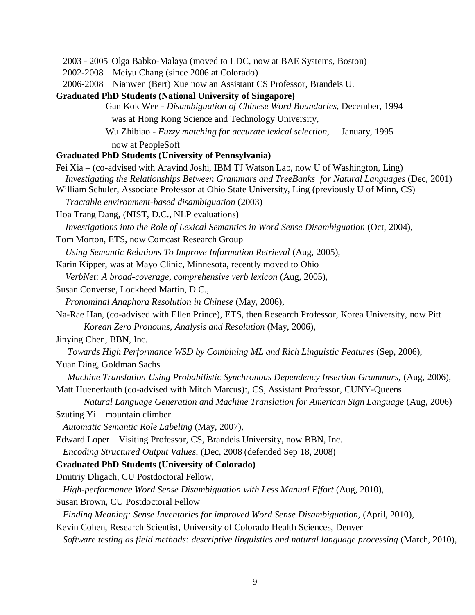2003 - 2005 Olga Babko-Malaya (moved to LDC, now at BAE Systems, Boston)

2002-2008 Meiyu Chang (since 2006 at Colorado)

2006-2008 Nianwen (Bert) Xue now an Assistant CS Professor, Brandeis U.

**Graduated PhD Students (National University of Singapore)**

Gan Kok Wee - *Disambiguation of Chinese Word Boundaries,* December, 1994 was at Hong Kong Science and Technology University,

Wu Zhibiao - *Fuzzy matching for accurate lexical selection,* January, 1995

now at PeopleSoft

#### **Graduated PhD Students (University of Pennsylvania)**

Fei Xia – (co-advised with Aravind Joshi, IBM TJ Watson Lab, now U of Washington, Ling)  *Investigating the Relationships Between Grammars and TreeBanks for Natural Languages* (Dec, 2001) William Schuler, Associate Professor at Ohio State University, Ling (previously U of Minn, CS)  *Tractable environment-based disambiguation* (2003) Hoa Trang Dang, (NIST, D.C., NLP evaluations)  *Investigations into the Role of Lexical Semantics in Word Sense Disambiguation* (Oct, 2004), Tom Morton, ETS, now Comcast Research Group *Using Semantic Relations To Improve Information Retrieval* (Aug, 2005), Karin Kipper, was at Mayo Clinic, Minnesota, recently moved to Ohio *VerbNet: A broad-coverage, comprehensive verb lexicon* (Aug, 2005), Susan Converse, Lockheed Martin, D.C., *Pronominal Anaphora Resolution in Chinese* (May, 2006), Na-Rae Han, (co-advised with Ellen Prince), ETS, then Research Professor, Korea University, now Pitt *Korean Zero Pronouns, Analysis and Resolution* (May, 2006), Jinying Chen, BBN, Inc. *Towards High Performance WSD by Combining ML and Rich Linguistic Features (Sep, 2006),* Yuan Ding, Goldman Sachs *Machine Translation Using Probabilistic Synchronous Dependency Insertion Grammars,* (Aug, 2006), Matt Huenerfauth (co-advised with Mitch Marcus):, CS, Assistant Professor, CUNY-Queens *Natural Language Generation and Machine Translation for American Sign Language* (Aug, 2006) Szuting Yi – mountain climber *Automatic Semantic Role Labeling* (May, 2007), Edward Loper – Visiting Professor, CS, Brandeis University, now BBN, Inc. *Encoding Structured Output Values,* (Dec, 2008 (defended Sep 18, 2008) **Graduated PhD Students (University of Colorado)** Dmitriy Dligach, CU Postdoctoral Fellow, *High-performance Word Sense Disambiguation with Less Manual Effort* (Aug, 2010), Susan Brown, CU Postdoctoral Fellow *Finding Meaning: Sense Inventories for improved Word Sense Disambiguation,* (April, 2010),

Kevin Cohen, Research Scientist, University of Colorado Health Sciences, Denver

*Software testing as field methods: descriptive linguistics and natural language processing* (March, 2010),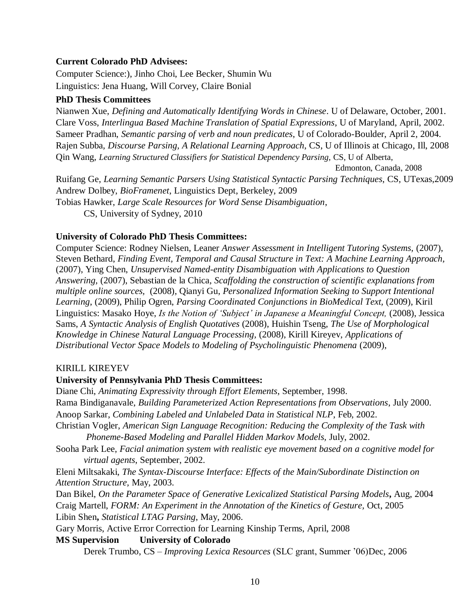#### **Current Colorado PhD Advisees:**

Computer Science:), Jinho Choi, Lee Becker, Shumin Wu Linguistics: Jena Huang, Will Corvey, Claire Bonial

#### **PhD Thesis Committees**

Nianwen Xue, *Defining and Automatically Identifying Words in Chinese*. U of Delaware, October, 2001. Clare Voss, *Interlingua Based Machine Translation of Spatial Expressions*, U of Maryland, April, 2002. Sameer Pradhan, *Semantic parsing of verb and noun predicates*, U of Colorado-Boulder, April 2, 2004. Rajen Subba, *Discourse Parsing, A Relational Learning Approach*, CS, U of Illinois at Chicago, Ill, 2008 Qin Wang, *Learning Structured Classifiers for Statistical Dependency Parsing,* CS, U of Alberta, Edmonton, Canada, 2008 Ruifang Ge, *Learning Semantic Parsers Using Statistical Syntactic Parsing Techniques*, CS, UTexas,2009 Andrew Dolbey, *BioFramenet*, Linguistics Dept, Berkeley, 2009 Tobias Hawker, *Large Scale Resources for Word Sense Disambiguation*, CS, University of Sydney, 2010

#### **University of Colorado PhD Thesis Committees:**

Computer Science: Rodney Nielsen, Leaner *Answer Assessment in Intelligent Tutoring Systems,* (2007), Steven Bethard, *Finding Event, Temporal and Causal Structure in Text: A Machine Learning Approach,* (2007), Ying Chen, *Unsupervised Named-entity Disambiguation with Applications to Question Answering,* (2007), Sebastian de la Chica, *Scaffolding the construction of scientific explanations from multiple online sources,* (2008), Qianyi Gu, *Personalized Information Seeking to Support Intentional Learning*, (2009), Philip Ogren, *Parsing Coordinated Conjunctions in BioMedical Text,* (2009), Kiril Linguistics: Masako Hoye, *Is the Notion of 'Subject' in Japanese a Meaningful Concept,* (2008), Jessica Sams, *A Syntactic Analysis of English Quotatives* (2008), Huishin Tseng, *The Use of Morphological Knowledge in Chinese Natural Language Processing,* (2008), Kirill Kireyev, *Applications of Distributional Vector Space Models to Modeling of Psycholinguistic Phenomena* (2009),

#### KIRILL KIREYEV

#### **University of Pennsylvania PhD Thesis Committees:**

Diane Chi, *Animating Expressivity through Effort Elements*, September, 1998. Rama Bindiganavale, *Building Parameterized Action Representations from Observations*, July 2000. Anoop Sarkar, *Combining Labeled and Unlabeled Data in Statistical NLP*, Feb, 2002. Christian Vogler, *American Sign Language Recognition: Reducing the Complexity of the Task with Phoneme-Based Modeling and Parallel Hidden Markov Models,* July, 2002. Sooha Park Lee, *Facial animation system with realistic eye movement based on a cognitive model for virtual agents*, September, 2002.

Eleni Miltsakaki, *The Syntax-Discourse Interface: Effects of the Main/Subordinate Distinction on Attention Structure,* May, 2003.

Dan Bikel, *On the Parameter Space of Generative Lexicalized Statistical Parsing Models***,** Aug, 2004 Craig Martell, *FORM: An Experiment in the Annotation of the Kinetics of Gesture,* Oct, 2005 Libin Shen**,** *Statistical LTAG Parsing*, May, 2006.

Gary Morris, Active Error Correction for Learning Kinship Terms, April, 2008

#### **MS Supervision University of Colorado**

Derek Trumbo, CS – *Improving Lexica Resources* (SLC grant, Summer '06)Dec, 2006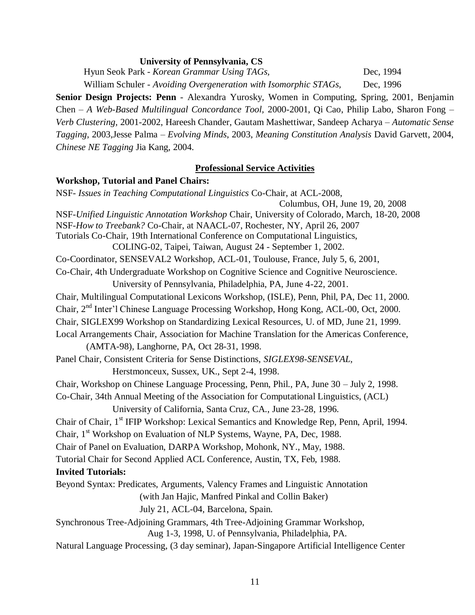#### **University of Pennsylvania, CS**

Hyun Seok Park - *Korean Grammar Using TAGs,* Dec, 1994 William Schuler - *Avoiding Overgeneration with Isomorphic STAGs,* Dec, 1996

**Senior Design Projects: Penn** - Alexandra Yurosky, Women in Computing, Spring, 2001, Benjamin Chen – *A Web-Based Multilingual Concordance Tool,* 2000-2001, Qi Cao, Philip Labo, Sharon Fong – *Verb Clustering,* 2001-2002, Hareesh Chander, Gautam Mashettiwar, Sandeep Acharya – *Automatic Sense Tagging*, 2003,Jesse Palma – *Evolving Minds*, 2003, *Meaning Constitution Analysis* David Garvett, 2004, *Chinese NE Tagging* Jia Kang, 2004.

#### **Professional Service Activities**

#### **Workshop, Tutorial and Panel Chairs:**

NSF- *Issues in Teaching Computational Linguistics* Co-Chair, at ACL-2008, Columbus, OH, June 19, 20, 2008 NSF-*Unified Linguistic Annotation Workshop* Chair, University of Colorado, March, 18-20, 2008 NSF-*How to Treebank?* Co-Chair, at NAACL-07, Rochester, NY, April 26, 2007 Tutorials Co-Chair, 19th International Conference on Computational Linguistics, COLING-02, Taipei, Taiwan, August 24 - September 1, 2002. Co-Coordinator, SENSEVAL2 Workshop, ACL-01, Toulouse, France, July 5, 6, 2001, Co-Chair, 4th Undergraduate Workshop on Cognitive Science and Cognitive Neuroscience. University of Pennsylvania, Philadelphia, PA, June 4-22, 2001. Chair, Multilingual Computational Lexicons Workshop, (ISLE), Penn, Phil, PA, Dec 11, 2000. Chair, 2nd Inter'l Chinese Language Processing Workshop, Hong Kong, ACL-00, Oct, 2000. Chair, SIGLEX99 Workshop on Standardizing Lexical Resources, U. of MD, June 21, 1999. Local Arrangements Chair, Association for Machine Translation for the Americas Conference, (AMTA-98), Langhorne, PA, Oct 28-31, 1998. Panel Chair, Consistent Criteria for Sense Distinctions, *SIGLEX98-SENSEVAL,* Herstmonceux, Sussex, UK., Sept 2-4, 1998. Chair, Workshop on Chinese Language Processing, Penn, Phil., PA, June 30 – July 2, 1998. Co-Chair, 34th Annual Meeting of the Association for Computational Linguistics, (ACL) University of California, Santa Cruz, CA., June 23-28, 1996. Chair of Chair, 1<sup>st</sup> IFIP Workshop: Lexical Semantics and Knowledge Rep, Penn, April, 1994. Chair, 1<sup>st</sup> Workshop on Evaluation of NLP Systems, Wayne, PA, Dec, 1988. Chair of Panel on Evaluation, DARPA Workshop, Mohonk, NY., May, 1988. Tutorial Chair for Second Applied ACL Conference, Austin, TX, Feb, 1988. **Invited Tutorials:** Beyond Syntax: Predicates, Arguments, Valency Frames and Linguistic Annotation (with Jan Hajic, Manfred Pinkal and Collin Baker) July 21, ACL-04, Barcelona, Spain. Synchronous Tree-Adjoining Grammars, 4th Tree-Adjoining Grammar Workshop, Aug 1-3, 1998, U. of Pennsylvania, Philadelphia, PA. Natural Language Processing, (3 day seminar), Japan-Singapore Artificial Intelligence Center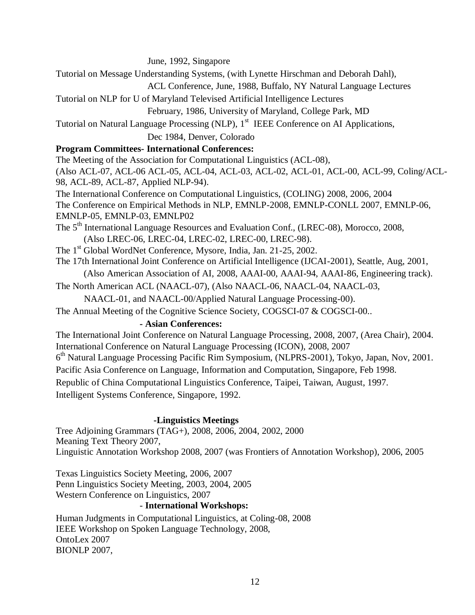June, 1992, Singapore

Tutorial on Message Understanding Systems, (with Lynette Hirschman and Deborah Dahl),

ACL Conference, June, 1988, Buffalo, NY Natural Language Lectures

Tutorial on NLP for U of Maryland Televised Artificial Intelligence Lectures

February, 1986, University of Maryland, College Park, MD

Tutorial on Natural Language Processing (NLP), 1<sup>st</sup> IEEE Conference on AI Applications,

Dec 1984, Denver, Colorado

## **Program Committees- International Conferences:**

The Meeting of the Association for Computational Linguistics (ACL-08),

(Also ACL-07, ACL-06 ACL-05, ACL-04, ACL-03, ACL-02, ACL-01, ACL-00, ACL-99, Coling/ACL-98, ACL-89, ACL-87, Applied NLP-94).

The International Conference on Computational Linguistics, (COLING) 2008, 2006, 2004 The Conference on Empirical Methods in NLP, EMNLP-2008, EMNLP-CONLL 2007, EMNLP-06, EMNLP-05, EMNLP-03, EMNLP02

The 5<sup>th</sup> International Language Resources and Evaluation Conf., (LREC-08), Morocco, 2008, (Also LREC-06, LREC-04, LREC-02, LREC-00, LREC-98).

- The 1<sup>st</sup> Global WordNet Conference, Mysore, India, Jan. 21-25, 2002.
- The 17th International Joint Conference on Artificial Intelligence (IJCAI-2001), Seattle, Aug, 2001,

(Also American Association of AI, 2008, AAAI-00, AAAI-94, AAAI-86, Engineering track).

The North American ACL (NAACL-07), (Also NAACL-06, NAACL-04, NAACL-03,

NAACL-01, and NAACL-00/Applied Natural Language Processing-00).

The Annual Meeting of the Cognitive Science Society, COGSCI-07 & COGSCI-00..

## **- Asian Conferences:**

The International Joint Conference on Natural Language Processing, 2008, 2007, (Area Chair), 2004. International Conference on Natural Language Processing (ICON), 2008, 2007

6<sup>th</sup> Natural Language Processing Pacific Rim Symposium, (NLPRS-2001), Tokyo, Japan, Nov, 2001.

Pacific Asia Conference on Language, Information and Computation, Singapore, Feb 1998.

Republic of China Computational Linguistics Conference, Taipei, Taiwan, August, 1997.

Intelligent Systems Conference, Singapore, 1992.

# **-Linguistics Meetings**

Tree Adjoining Grammars (TAG+), 2008, 2006, 2004, 2002, 2000 Meaning Text Theory 2007, Linguistic Annotation Workshop 2008, 2007 (was Frontiers of Annotation Workshop), 2006, 2005

Texas Linguistics Society Meeting, 2006, 2007 Penn Linguistics Society Meeting, 2003, 2004, 2005 Western Conference on Linguistics, 2007

## - **International Workshops:**

Human Judgments in Computational Linguistics, at Coling-08, 2008 IEEE Workshop on Spoken Language Technology, 2008, OntoLex 2007 BIONLP 2007,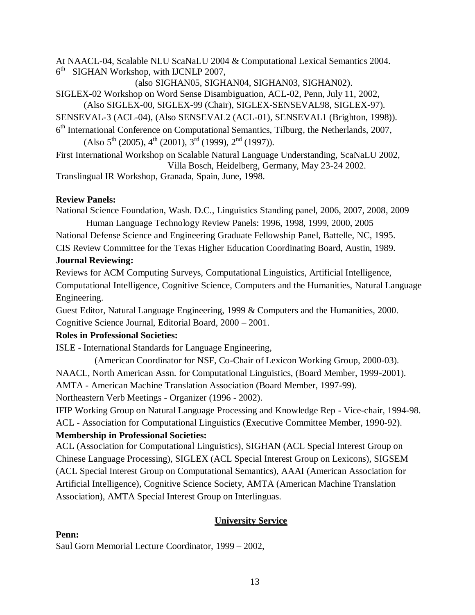At NAACL-04, Scalable NLU ScaNaLU 2004 & Computational Lexical Semantics 2004. 6<sup>th</sup> SIGHAN Workshop, with IJCNLP 2007,

(also SIGHAN05, SIGHAN04, SIGHAN03, SIGHAN02).

SIGLEX-02 Workshop on Word Sense Disambiguation, ACL-02, Penn, July 11, 2002, (Also SIGLEX-00, SIGLEX-99 (Chair), SIGLEX-SENSEVAL98, SIGLEX-97).

SENSEVAL-3 (ACL-04), (Also SENSEVAL2 (ACL-01), SENSEVAL1 (Brighton, 1998)).

6<sup>th</sup> International Conference on Computational Semantics, Tilburg, the Netherlands, 2007,  $(Also 5<sup>th</sup> (2005), 4<sup>th</sup> (2001), 3<sup>rd</sup> (1999), 2<sup>nd</sup> (1997)).$ 

First International Workshop on Scalable Natural Language Understanding, ScaNaLU 2002, Villa Bosch, Heidelberg, Germany, May 23-24 2002.

Translingual IR Workshop, Granada, Spain, June, 1998.

## **Review Panels:**

National Science Foundation, Wash. D.C., Linguistics Standing panel, 2006, 2007, 2008, 2009 Human Language Technology Review Panels: 1996, 1998, 1999, 2000, 2005

National Defense Science and Engineering Graduate Fellowship Panel, Battelle, NC, 1995.

CIS Review Committee for the Texas Higher Education Coordinating Board, Austin, 1989.

## **Journal Reviewing:**

Reviews for ACM Computing Surveys, Computational Linguistics, Artificial Intelligence, Computational Intelligence, Cognitive Science, Computers and the Humanities, Natural Language Engineering.

Guest Editor, Natural Language Engineering, 1999 & Computers and the Humanities, 2000. Cognitive Science Journal, Editorial Board, 2000 – 2001.

## **Roles in Professional Societies:**

ISLE - International Standards for Language Engineering,

(American Coordinator for NSF, Co-Chair of Lexicon Working Group, 2000-03). NAACL, North American Assn. for Computational Linguistics, (Board Member, 1999-2001). AMTA - American Machine Translation Association (Board Member, 1997-99).

Northeastern Verb Meetings - Organizer (1996 - 2002).

IFIP Working Group on Natural Language Processing and Knowledge Rep - Vice-chair, 1994-98. ACL - Association for Computational Linguistics (Executive Committee Member, 1990-92). **Membership in Professional Societies:**

ACL (Association for Computational Linguistics), SIGHAN (ACL Special Interest Group on Chinese Language Processing), SIGLEX (ACL Special Interest Group on Lexicons), SIGSEM (ACL Special Interest Group on Computational Semantics), AAAI (American Association for Artificial Intelligence), Cognitive Science Society, AMTA (American Machine Translation Association), AMTA Special Interest Group on Interlinguas.

# **University Service**

## **Penn:**

Saul Gorn Memorial Lecture Coordinator, 1999 – 2002,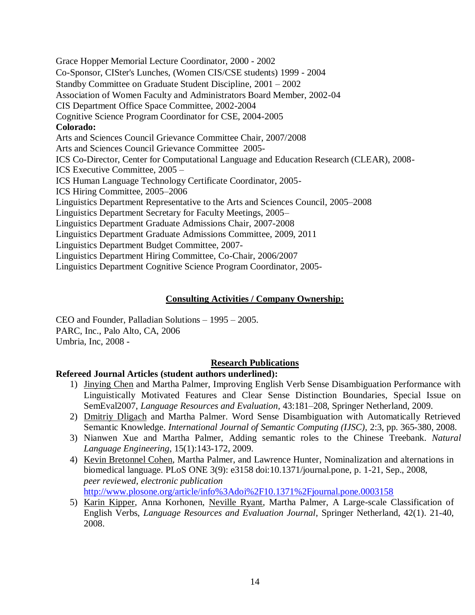Grace Hopper Memorial Lecture Coordinator, 2000 - 2002 Co-Sponsor, CISter's Lunches, (Women CIS/CSE students) 1999 - 2004 Standby Committee on Graduate Student Discipline, 2001 – 2002 Association of Women Faculty and Administrators Board Member, 2002-04 CIS Department Office Space Committee, 2002-2004 Cognitive Science Program Coordinator for CSE, 2004-2005 **Colorado:** Arts and Sciences Council Grievance Committee Chair, 2007/2008 Arts and Sciences Council Grievance Committee 2005- ICS Co-Director, Center for Computational Language and Education Research (CLEAR), 2008- ICS Executive Committee, 2005 – ICS Human Language Technology Certificate Coordinator, 2005- ICS Hiring Committee, 2005–2006 Linguistics Department Representative to the Arts and Sciences Council, 2005–2008 Linguistics Department Secretary for Faculty Meetings, 2005– Linguistics Department Graduate Admissions Chair, 2007-2008 Linguistics Department Graduate Admissions Committee, 2009, 2011 Linguistics Department Budget Committee, 2007- Linguistics Department Hiring Committee, Co-Chair, 2006/2007 Linguistics Department Cognitive Science Program Coordinator, 2005-

## **Consulting Activities / Company Ownership:**

CEO and Founder, Palladian Solutions – 1995 – 2005. PARC, Inc., Palo Alto, CA, 2006 Umbria, Inc, 2008 -

## **Research Publications**

## **Refereed Journal Articles (student authors underlined):**

- 1) Jinying Chen and Martha Palmer, Improving English Verb Sense Disambiguation Performance with Linguistically Motivated Features and Clear Sense Distinction Boundaries, Special Issue on SemEval2007, *Language Resources and Evaluation,* 43:181–208, Springer Netherland, 2009.
- 2) Dmitriy Dligach and Martha Palmer. Word Sense Disambiguation with Automatically Retrieved Semantic Knowledge. *International Journal of Semantic Computing (IJSC),* 2:3, pp. 365-380, 2008.
- 3) Nianwen Xue and Martha Palmer, Adding semantic roles to the Chinese Treebank. *Natural Language Engineering*, 15(1):143-172, 2009.
- 4) Kevin Bretonnel Cohen, Martha Palmer, and Lawrence Hunter, Nominalization and alternations in biomedical language. PLoS ONE 3(9): e3158 doi:10.1371/journal.pone, p. 1-21, Sep., 2008, *peer reviewed, electronic publication* <http://www.plosone.org/article/info%3Adoi%2F10.1371%2Fjournal.pone.0003158>
- 5) Karin Kipper, Anna Korhonen, Neville Ryant, Martha Palmer, A Large-scale Classification of English Verbs, *Language Resources and Evaluation Journal*, Springer Netherland, 42(1). 21-40, 2008.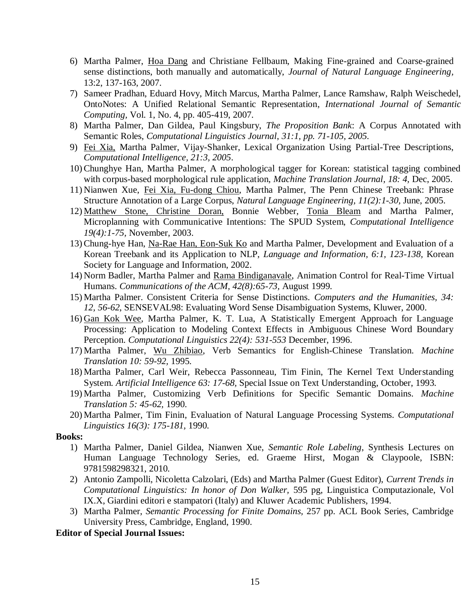- 6) Martha Palmer, Hoa Dang and Christiane Fellbaum, Making Fine-grained and Coarse-grained sense distinctions, both manually and automatically, *Journal of Natural Language Engineering,*  13:2, 137-163, 2007.
- 7) Sameer Pradhan, Eduard Hovy, Mitch Marcus, Martha Palmer, Lance Ramshaw, Ralph Weischedel, OntoNotes: A Unified Relational Semantic Representation, *International Journal of Semantic Computing,* Vol. 1, No. 4, pp. 405-419, 2007.
- 8) Martha Palmer, Dan Gildea, Paul Kingsbury, *The Proposition Bank*: A Corpus Annotated with Semantic Roles, *Computational Linguistics Journal*, *31:1, pp. 71-105, 2005.*
- 9) Fei Xia, Martha Palmer, Vijay-Shanker, Lexical Organization Using Partial-Tree Descriptions, *Computational Intelligence, 21:3, 2005*.
- 10) Chunghye Han, Martha Palmer, A morphological tagger for Korean: statistical tagging combined with corpus-based morphological rule application, *Machine Translation Journal, 18: 4,* Dec, 2005.
- 11) Nianwen Xue, Fei Xia, Fu-dong Chiou, Martha Palmer, The Penn Chinese Treebank: Phrase Structure Annotation of a Large Corpus, *Natural Language Engineering, 11(2):1-30,* June, 2005.
- 12) Matthew Stone, Christine Doran, Bonnie Webber, Tonia Bleam and Martha Palmer, Microplanning with Communicative Intentions: The SPUD System, *Computational Intelligence 19(4):1-75,* November, 2003.
- 13) Chung-hye Han, Na-Rae Han, Eon-Suk Ko and Martha Palmer, Development and Evaluation of a Korean Treebank and its Application to NLP, *Language and Information, 6:1, 123-138,* Korean Society for Language and Information, 2002.
- 14) Norm Badler, Martha Palmer and Rama Bindiganavale, Animation Control for Real-Time Virtual Humans. *Communications of the ACM, 42(8):65-73,* August 1999.
- 15) Martha Palmer. Consistent Criteria for Sense Distinctions. *Computers and the Humanities, 34: 12, 56-62*, SENSEVAL98: Evaluating Word Sense Disambiguation Systems, Kluwer, 2000.
- 16) Gan Kok Wee, Martha Palmer, K. T. Lua, A Statistically Emergent Approach for Language Processing: Application to Modeling Context Effects in Ambiguous Chinese Word Boundary Perception. *Computational Linguistics 22(4): 531-553* December, 1996.
- 17) Martha Palmer, Wu Zhibiao, Verb Semantics for English-Chinese Translation. *Machine Translation 10: 59-92,* 1995.
- 18) Martha Palmer, Carl Weir, Rebecca Passonneau, Tim Finin, The Kernel Text Understanding System. *Artificial Intelligence 63: 17-68,* Special Issue on Text Understanding, October, 1993.
- 19) Martha Palmer, Customizing Verb Definitions for Specific Semantic Domains. *Machine Translation 5: 45-62,* 1990.
- 20) Martha Palmer, Tim Finin, Evaluation of Natural Language Processing Systems. *Computational Linguistics 16(3): 175-181,* 1990.

#### **Books:**

- 1) Martha Palmer, Daniel Gildea, Nianwen Xue, *Semantic Role Labeling*, Synthesis Lectures on Human Language Technology Series, ed. Graeme Hirst, Mogan & Claypoole, ISBN: 9781598298321, 2010.
- 2) Antonio Zampolli, Nicoletta Calzolari, (Eds) and Martha Palmer (Guest Editor), *Current Trends in Computational Linguistics: In honor of Don Walker,* 595 pg, Linguistica Computazionale, Vol IX.X, Giardini editori e stampatori (Italy) and Kluwer Academic Publishers, 1994.
- 3) Martha Palmer, *Semantic Processing for Finite Domains,* 257 pp. ACL Book Series, Cambridge University Press, Cambridge, England, 1990.

#### **Editor of Special Journal Issues:**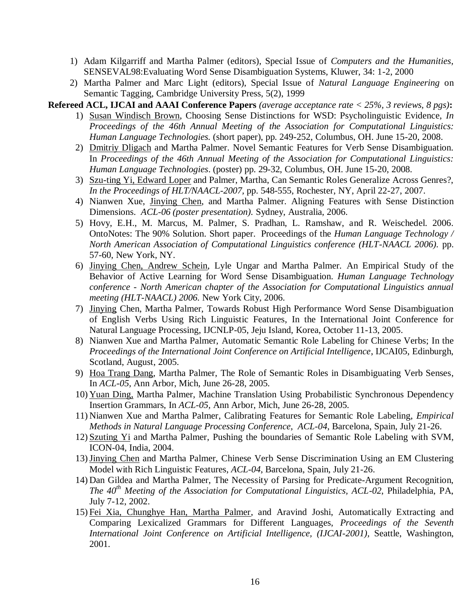- 1) Adam Kilgarriff and Martha Palmer (editors), Special Issue of *Computers and the Humanities,* SENSEVAL98:Evaluating Word Sense Disambiguation Systems, Kluwer, 34: 1-2, 2000
- 2) Martha Palmer and Marc Light (editors), Special Issue of *Natural Language Engineering* on Semantic Tagging, Cambridge University Press, 5(2), 1999

**Refereed ACL, IJCAI and AAAI Conference Papers** *(average acceptance rate < 25%, 3 reviews, 8 pgs)***:**

- 1) Susan Windisch Brown, Choosing Sense Distinctions for WSD: Psycholinguistic Evidence, *In Proceedings of the 46th Annual Meeting of the Association for Computational Linguistics: Human Language Technologies.* (short paper), pp. 249-252, Columbus, OH. June 15-20, 2008.
- 2) Dmitriy Dligach and Martha Palmer. Novel Semantic Features for Verb Sense Disambiguation. In *Proceedings of the 46th Annual Meeting of the Association for Computational Linguistics: Human Language Technologies*. (poster) pp. 29-32, Columbus, OH. June 15-20, 2008.
- 3) Szu-ting Yi, Edward Loper and Palmer, Martha, Can Semantic Roles Generalize Across Genres?, *In the Proceedings of HLT/NAACL-2007,* pp. 548-555, Rochester, NY, April 22-27, 2007.
- 4) Nianwen Xue, Jinying Chen, and Martha Palmer. Aligning Features with Sense Distinction Dimensions. *ACL-06 (poster presentation).* Sydney, Australia, 2006.
- 5) Hovy, E.H., M. Marcus, M. Palmer, S. Pradhan, L. Ramshaw, and R. Weischedel. 2006. OntoNotes: The 90% Solution. Short paper. Proceedings of the *Human Language Technology / North American Association of Computational Linguistics conference (HLT-NAACL 2006).* pp. 57-60, New York, NY.
- 6) Jinying Chen, Andrew Schein, Lyle Ungar and Martha Palmer. An Empirical Study of the Behavior of Active Learning for Word Sense Disambiguation. *Human Language Technology conference - North American chapter of the Association for Computational Linguistics annual meeting (HLT-NAACL) 2006.* New York City, 2006.
- 7) Jinying Chen, Martha Palmer, Towards Robust High Performance Word Sense Disambiguation of English Verbs Using Rich Linguistic Features, In the International Joint Conference for Natural Language Processing, IJCNLP-05, Jeju Island, Korea, October 11-13, 2005.
- 8) Nianwen Xue and Martha Palmer, Automatic Semantic Role Labeling for Chinese Verbs; In the *Proceedings of the International Joint Conference on Artificial Intelligence*, IJCAI05, Edinburgh, Scotland, August, 2005.
- 9) Hoa Trang Dang, Martha Palmer, The Role of Semantic Roles in Disambiguating Verb Senses, In *ACL-05,* Ann Arbor, Mich, June 26-28, 2005.
- 10) Yuan Ding, Martha Palmer, Machine Translation Using Probabilistic Synchronous Dependency Insertion Grammars, In *ACL-05,* Ann Arbor, Mich, June 26-28, 2005.
- 11) Nianwen Xue and Martha Palmer, Calibrating Features for Semantic Role Labeling, *Empirical Methods in Natural Language Processing Conference*, *ACL-04*, Barcelona, Spain, July 21-26.
- 12) Szuting Yi and Martha Palmer, Pushing the boundaries of Semantic Role Labeling with SVM, ICON-04, India, 2004.
- 13)Jinying Chen and Martha Palmer, Chinese Verb Sense Discrimination Using an EM Clustering Model with Rich Linguistic Features, *ACL-04*, Barcelona, Spain, July 21-26.
- 14) Dan Gildea and Martha Palmer, The Necessity of Parsing for Predicate-Argument Recognition, *The 40th Meeting of the Association for Computational Linguistics, ACL-02*, Philadelphia, PA, July 7-12, 2002.
- 15) Fei Xia, Chunghye Han, Martha Palmer, and Aravind Joshi, Automatically Extracting and Comparing Lexicalized Grammars for Different Languages, *Proceedings of the Seventh International Joint Conference on Artificial Intelligence, (IJCAI-2001),* Seattle, Washington, 2001.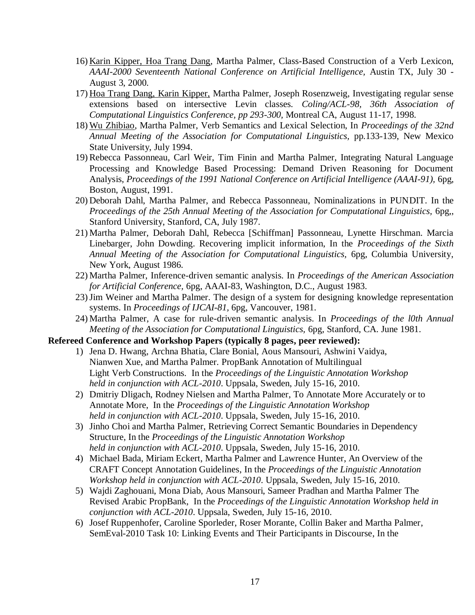- 16) Karin Kipper, Hoa Trang Dang, Martha Palmer, Class-Based Construction of a Verb Lexicon, *AAAI-2000 Seventeenth National Conference on Artificial Intelligence,* Austin TX, July 30 - August 3, 2000.
- 17) Hoa Trang Dang, Karin Kipper, Martha Palmer, Joseph Rosenzweig, Investigating regular sense extensions based on intersective Levin classes. *Coling/ACL-98, 36th Association of Computational Linguistics Conference, pp 293-300,* Montreal CA, August 11-17, 1998.
- 18) Wu Zhibiao, Martha Palmer, Verb Semantics and Lexical Selection, In *Proceedings of the 32nd Annual Meeting of the Association for Computational Linguistics,* pp.133-139, New Mexico State University, July 1994.
- 19) Rebecca Passonneau, Carl Weir, Tim Finin and Martha Palmer, Integrating Natural Language Processing and Knowledge Based Processing: Demand Driven Reasoning for Document Analysis, *Proceedings of the 1991 National Conference on Artificial Intelligence (AAAI-91),* 6pg, Boston, August, 1991.
- 20) Deborah Dahl, Martha Palmer, and Rebecca Passonneau, Nominalizations in PUNDIT. In the *Proceedings of the 25th Annual Meeting of the Association for Computational Linguistics,* 6pg,, Stanford University, Stanford, CA, July 1987.
- 21) Martha Palmer, Deborah Dahl, Rebecca [Schiffman] Passonneau, Lynette Hirschman. Marcia Linebarger, John Dowding. Recovering implicit information, In the *Proceedings of the Sixth Annual Meeting of the Association for Computational Linguistics,* 6pg, Columbia University, New York, August 1986.
- 22) Martha Palmer, Inference-driven semantic analysis. In *Proceedings of the American Association for Artificial Conference,* 6pg, AAAI-83, Washington, D.C., August 1983.
- 23)Jim Weiner and Martha Palmer. The design of a system for designing knowledge representation systems. In *Proceedings of IJCAI-81,* 6pg, Vancouver, 1981.
- 24) Martha Palmer, A case for rule-driven semantic analysis. In *Proceedings of the l0th Annual Meeting of the Association for Computational Linguistics,* 6pg, Stanford, CA. June 1981.

#### **Refereed Conference and Workshop Papers (typically 8 pages, peer reviewed):**

- 1) Jena D. Hwang, Archna Bhatia, Clare Bonial, Aous Mansouri, Ashwini Vaidya, Nianwen Xue, and Martha Palmer. PropBank Annotation of Multilingual Light Verb Constructions. In the *Proceedings of the Linguistic Annotation Workshop held in conjunction with ACL-2010*. Uppsala, Sweden, July 15-16, 2010.
- 2) Dmitriy Dligach, Rodney Nielsen and Martha Palmer, To Annotate More Accurately or to Annotate More, In the *Proceedings of the Linguistic Annotation Workshop held in conjunction with ACL-2010*. Uppsala, Sweden, July 15-16, 2010.
- 3) Jinho Choi and Martha Palmer, Retrieving Correct Semantic Boundaries in Dependency Structure, In the *Proceedings of the Linguistic Annotation Workshop held in conjunction with ACL-2010*. Uppsala, Sweden, July 15-16, 2010.
- 4) Michael Bada, Miriam Eckert, Martha Palmer and Lawrence Hunter, An Overview of the CRAFT Concept Annotation Guidelines, In the *Proceedings of the Linguistic Annotation Workshop held in conjunction with ACL-2010*. Uppsala, Sweden, July 15-16, 2010.
- 5) Wajdi Zaghouani, Mona Diab, Aous Mansouri, Sameer Pradhan and Martha Palmer The Revised Arabic PropBank, In the *Proceedings of the Linguistic Annotation Workshop held in conjunction with ACL-2010*. Uppsala, Sweden, July 15-16, 2010.
- 6) Josef Ruppenhofer, Caroline Sporleder, Roser Morante, Collin Baker and Martha Palmer, SemEval-2010 Task 10: Linking Events and Their Participants in Discourse, In the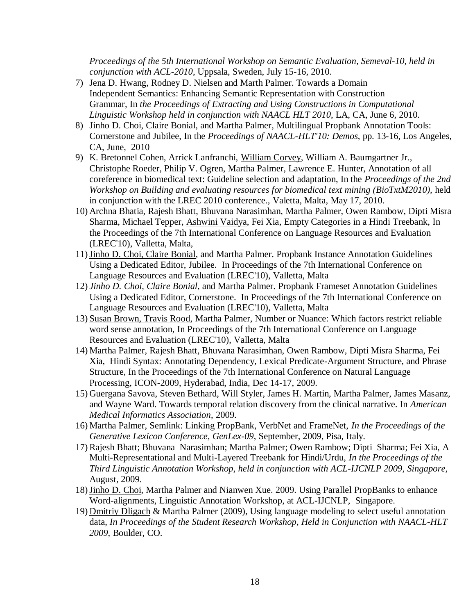*Proceedings of the 5th International Workshop on Semantic Evaluation, Semeval-10, held in conjunction with ACL-2010*, Uppsala, Sweden, July 15-16, 2010.

- 7) Jena D. Hwang, Rodney D. Nielsen and Marth Palmer. Towards a Domain Independent Semantics: Enhancing Semantic Representation with Construction Grammar, In *the Proceedings of Extracting and Using Constructions in Computational Linguistic Workshop held in conjunction with NAACL HLT 2010*, LA, CA, June 6, 2010.
- 8) Jinho D. Choi, Claire Bonial, and Martha Palmer, Multilingual Propbank Annotation Tools: Cornerstone and Jubilee, In the *Proceedings of NAACL-HLT'10: Demos*, pp. 13-16, Los Angeles, CA, June, 2010
- 9) K. Bretonnel Cohen, Arrick Lanfranchi, William Corvey, William A. Baumgartner Jr., Christophe Roeder, Philip V. Ogren, Martha Palmer, Lawrence E. Hunter, Annotation of all coreference in biomedical text: Guideline selection and adaptation, In the *Proceedings of the 2nd Workshop on Building and evaluating resources for biomedical text mining (BioTxtM2010),* held in conjunction with the LREC 2010 conference., Valetta, Malta, May 17, 2010.
- 10) Archna Bhatia, Rajesh Bhatt, Bhuvana Narasimhan, Martha Palmer, Owen Rambow, Dipti Misra Sharma, Michael Tepper, Ashwini Vaidya, Fei Xia, Empty Categories in a Hindi Treebank, In the Proceedings of the 7th International Conference on Language Resources and Evaluation (LREC'10), Valletta, Malta,
- 11)Jinho D. Choi, Claire Bonial, and Martha Palmer. Propbank Instance Annotation Guidelines Using a Dedicated Editor, Jubilee. In Proceedings of the 7th International Conference on Language Resources and Evaluation (LREC'10), Valletta, Malta
- 12) *Jinho D. Choi, Claire Bonial*, and Martha Palmer. Propbank Frameset Annotation Guidelines Using a Dedicated Editor, Cornerstone. In Proceedings of the 7th International Conference on Language Resources and Evaluation (LREC'10), Valletta, Malta
- 13) Susan Brown, Travis Rood, Martha Palmer, Number or Nuance: Which factors restrict reliable word sense annotation, In Proceedings of the 7th International Conference on Language Resources and Evaluation (LREC'10), Valletta, Malta
- 14) Martha Palmer, Rajesh Bhatt, Bhuvana Narasimhan, Owen Rambow, Dipti Misra Sharma, Fei Xia, Hindi Syntax: Annotating Dependency, Lexical Predicate-Argument Structure, and Phrase Structure, In the Proceedings of the 7th International Conference on Natural Language Processing, ICON-2009, Hyderabad, India, Dec 14-17, 2009.
- 15) Guergana Savova, Steven Bethard, Will Styler, James H. Martin, Martha Palmer, James Masanz, and Wayne Ward. Towards temporal relation discovery from the clinical narrative. In *American Medical Informatics Association*, 2009.
- 16) Martha Palmer, Semlink: Linking PropBank, VerbNet and FrameNet, *In the Proceedings of the Generative Lexicon Conference, GenLex-09*, September, 2009, Pisa, Italy.
- 17) Rajesh Bhatt; Bhuvana Narasimhan; Martha Palmer; Owen Rambow; Dipti Sharma; Fei Xia, A Multi-Representational and Multi-Layered Treebank for Hindi/Urdu, *In the Proceedings of the Third Linguistic Annotation Workshop, held in conjunction with ACL-IJCNLP 2009, Singapore,* August, 2009.
- 18) Jinho D. Choi, Martha Palmer and Nianwen Xue. 2009. Using Parallel PropBanks to enhance Word-alignments, Linguistic Annotation Workshop, at ACL-IJCNLP, Singapore.
- 19) Dmitriy Dligach & Martha Palmer (2009), Using language modeling to select useful annotation data, *In Proceedings of the Student Research Workshop, Held in Conjunction with NAACL-HLT 2009*, Boulder, CO.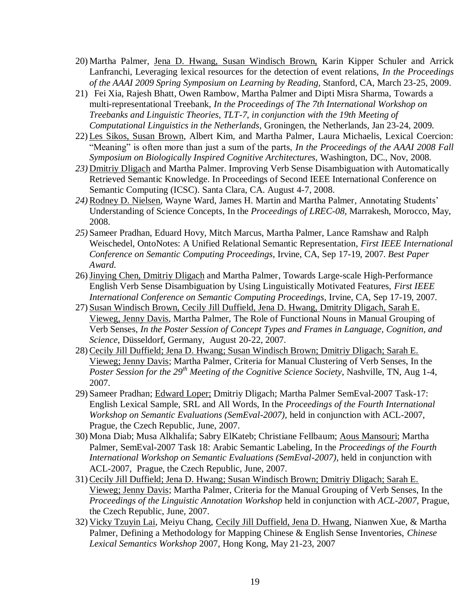- 20) Martha Palmer, Jena D. Hwang, Susan Windisch Brown, Karin Kipper Schuler and Arrick Lanfranchi, Leveraging lexical resources for the detection of event relations, *In the Proceedings of the AAAI 2009 Spring Symposium on Learning by Reading,* Stanford, CA, March 23-25, 2009.
- 21) Fei Xia, Rajesh Bhatt, Owen Rambow, Martha Palmer and Dipti Misra Sharma, Towards a multi-representational Treebank, *In the Proceedings of The 7th International Workshop on Treebanks and Linguistic Theories, TLT-7, in conjunction with the 19th Meeting of Computational Linguistics in the Netherlands*, Groningen, the Netherlands, Jan 23-24, 2009.
- 22) Les Sikos, Susan Brown, Albert Kim, and Martha Palmer, Laura Michaelis, Lexical Coercion: "Meaning" is often more than just a sum of the parts, *In the Proceedings of the AAAI 2008 Fall Symposium on Biologically Inspired Cognitive Architectures,* Washington, DC., Nov, 2008.
- *23)* Dmitriy Dligach and Martha Palmer. Improving Verb Sense Disambiguation with Automatically Retrieved Semantic Knowledge. In Proceedings of Second IEEE International Conference on Semantic Computing (ICSC). Santa Clara, CA. August 4-7, 2008.
- *24)* Rodney D. Nielsen, Wayne Ward, James H. Martin and Martha Palmer, Annotating Students' Understanding of Science Concepts, In the *Proceedings of LREC-08,* Marrakesh, Morocco, May, 2008.
- *25)* Sameer Pradhan, Eduard Hovy, Mitch Marcus, Martha Palmer, Lance Ramshaw and Ralph Weischedel, OntoNotes: A Unified Relational Semantic Representation, *First IEEE International Conference on Semantic Computing Proceedings*, Irvine, CA, Sep 17-19, 2007. *Best Paper Award.*
- 26)Jinying Chen, Dmitriy Dligach and Martha Palmer, Towards Large-scale High-Performance English Verb Sense Disambiguation by Using Linguistically Motivated Features, *First IEEE International Conference on Semantic Computing Proceedings*, Irvine, CA, Sep 17-19, 2007.
- 27) Susan Windisch Brown, Cecily Jill Duffield, Jena D. Hwang, Dmitrity Dligach, Sarah E. Vieweg, Jenny Davis, Martha Palmer, [The Role of Functional Nouns in Manual Grouping of](http://phil-fak.uni-duesseldorf.de/FFF/index.php?id=322&L=2)  [Verb Senses](http://phil-fak.uni-duesseldorf.de/FFF/index.php?id=322&L=2)*, In the Poster Session of Concept Types and Frames in Language, Cognition, and Science*, Düsseldorf, Germany, August 20-22, 2007.
- 28) Cecily Jill Duffield; Jena D. Hwang; Susan Windisch Brown; Dmitriy Dligach; Sarah E. Vieweg; Jenny Davis; Martha Palmer, Criteria for Manual Clustering of Verb Senses, In the *Poster Session for the 29th Meeting of the Cognitive Science Society*, Nashville, TN, Aug 1-4, 2007.
- 29) Sameer Pradhan; Edward Loper; Dmitriy Dligach; Martha Palmer SemEval-2007 Task-17: English Lexical Sample, SRL and All Words, In the *Proceedings of the Fourth International Workshop on Semantic Evaluations (SemEval-2007),* held in conjunction with ACL-2007, Prague, the Czech Republic, June, 2007.
- 30) Mona Diab; Musa Alkhalifa; Sabry ElKateb; Christiane Fellbaum; Aous Mansouri; Martha Palmer, SemEval-2007 Task 18: Arabic Semantic Labeling, In the *Proceedings of the Fourth International Workshop on Semantic Evaluations (SemEval-2007),* held in conjunction with ACL-2007, Prague, the Czech Republic, June, 2007.
- 31) Cecily Jill Duffield; Jena D. Hwang; Susan Windisch Brown; Dmitriy Dligach; Sarah E. Vieweg; Jenny Davis; Martha Palmer, Criteria for the Manual Grouping of Verb Senses, In the *Proceedings of the Linguistic Annotation Workshop* held in conjunction with *ACL-2007,* Prague, the Czech Republic, June, 2007.
- 32) Vicky Tzuyin Lai, Meiyu Chang, Cecily Jill Duffield, Jena D. Hwang, Nianwen Xue, & Martha Palmer, Defining a Methodology for Mapping Chinese & English Sense Inventories, *Chinese Lexical Semantics Workshop* 2007, Hong Kong, May 21-23, 2007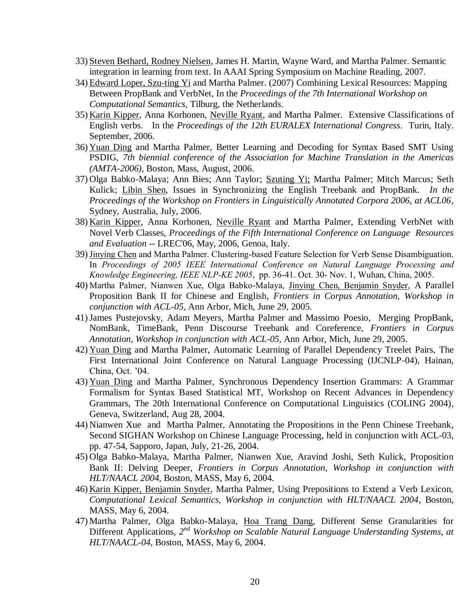- 33) Steven Bethard, Rodney Nielsen, James H. Martin, Wayne Ward, and Martha Palmer. Semantic integration in learning from text. In AAAI Spring Symposium on Machine Reading, 2007.
- 34) Edward Loper, Szu-ting Yi and Martha Palmer. (2007) Combining Lexical Resources: Mapping Between PropBank and VerbNet, In the *Proceedings of the 7th International Workshop on Computational Semantics,* Tilburg, the Netherlands.
- 35) Karin Kipper, Anna Korhonen, Neville Ryant, and Martha Palmer. Extensive Classifications of English verbs. In the *Proceedings of the 12th EURALEX International Congress*. Turin, Italy. September, 2006.
- 36) Yuan Ding and Martha Palmer, Better Learning and Decoding for Syntax Based SMT Using PSDIG, *7th biennial conference of the Association for Machine Translation in the Americas (AMTA-2006),* Boston, Mass, August, 2006.
- 37) Olga Babko-Malaya; Ann Bies; Ann Taylor; Szuting Yi; Martha Palmer; Mitch Marcus; Seth Kulick; Libin Shen, Issues in Synchronizing the English Treebank and PropBank. *In the Proceedings of the Workshop on Frontiers in Linguistically Annotated Corpora 2006, at ACL06*, Sydney, Australia, July, 2006.
- 38) Karin Kipper, Anna Korhonen, Neville Ryant and Martha Palmer, Extending VerbNet with Novel Verb Classes, *Proceedings of the Fifth International Conference on Language Resources and Evaluation -*- LREC'06, May, 2006, Genoa, Italy.
- 39)Jinying Chen and Martha Palmer. Clustering-based Feature Selection for Verb Sense Disambiguation. In *Proceedings of 2005 IEEE International Conference on Natural Language Processing and Knowledge Engineering, IEEE NLP-KE 2005*, pp. 36-41. Oct. 30- Nov. 1, Wuhan, China, 2005.
- 40) Martha Palmer, Nianwen Xue, Olga Babko-Malaya, Jinying Chen, Benjamin Snyder, A Parallel Proposition Bank II for Chinese and English, *Frontiers in Corpus Annotation, Workshop in conjunction with ACL-05,* Ann Arbor, Mich, June 29, 2005.
- 41)James Pustejovsky, Adam Meyers, Martha Palmer and Massimo Poesio, Merging PropBank, NomBank, TimeBank, Penn Discourse Treebank and Coreference, *Frontiers in Corpus Annotation*, *Workshop in conjunction with ACL-05,* Ann Arbor, Mich, June 29, 2005.
- 42) Yuan Ding and Martha Palmer, Automatic Learning of Parallel Dependency Treelet Pairs, The First International Joint Conference on Natural Language Processing (IJCNLP-04), Hainan, China, Oct. '04.
- 43) Yuan Ding and Martha Palmer, Synchronous Dependency Insertion Grammars: A Grammar Formalism for Syntax Based Statistical MT, Workshop on Recent Advances in Dependency Grammars, The 20th International Conference on Computational Linguistics (COLING 2004), Geneva, Switzerland, Aug 28, 2004.
- 44) Nianwen Xue and Martha Palmer, Annotating the Propositions in the Penn Chinese Treebank, Second SIGHAN Workshop on Chinese Language Processing, held in conjunction with ACL-03, pp. 47-54, Sapporo, Japan, July, 21-26, 2004.
- 45) Olga Babko-Malaya, Martha Palmer, Nianwen Xue, Aravind Joshi, Seth Kulick, Proposition Bank II: Delving Deeper, *Frontiers in Corpus Annotation*, *Workshop in conjunction with HLT/NAACL 2004*, Boston, MASS, May 6, 2004.
- 46) Karin Kipper, Benjamin Snyder, Martha Palmer, Using Prepositions to Extend a Verb Lexicon, *Computational Lexical Semantics, Workshop in conjunction with HLT/NAACL 2004*, Boston, MASS, May 6, 2004.
- 47) Martha Palmer, Olga Babko-Malaya, Hoa Trang Dang, Different Sense Granularities for Different Applications, 2<sup>nd</sup> Workshop on Scalable Natural Language Understanding Systems, at *HLT/NAACL-04,* Boston, MASS, May 6, 2004.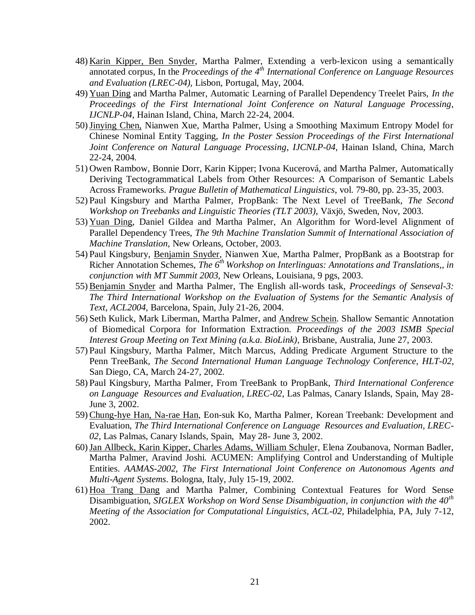- 48) Karin Kipper, Ben Snyder, Martha Palmer, Extending a verb-lexicon using a semantically annotated corpus, In the *Proceedings of the 4th International Conference on Language Resources and Evaluation (LREC-04),* Lisbon, Portugal, May, 2004.
- 49) Yuan Ding and Martha Palmer, Automatic Learning of Parallel Dependency Treelet Pairs, *In the Proceedings of the First International Joint Conference on Natural Language Processing*, *IJCNLP-04*, Hainan Island, China, March 22-24, 2004.
- 50)Jinying Chen, Nianwen Xue, Martha Palmer, Using a Smoothing Maximum Entropy Model for Chinese Nominal Entity Tagging, *In the Poster Session Proceedings of the First International Joint Conference on Natural Language Processing*, *IJCNLP-04*, Hainan Island, China, March 22-24, 2004.
- 51) Owen Rambow, Bonnie Dorr, Karin Kipper; Ivona Kucerová, and Martha Palmer, Automatically Deriving Tectogrammatical Labels from Other Resources: A Comparison of Semantic Labels Across Frameworks. *Prague Bulletin of Mathematical Linguistics*, vol. 79-80, pp. 23-35, 2003.
- 52) Paul Kingsbury and Martha Palmer, PropBank: The Next Level of TreeBank, *The Second Workshop on Treebanks and Linguistic Theories (TLT 2003)*, Växjö, Sweden, Nov, 2003.
- 53) Yuan Ding, Daniel Gildea and Martha Palmer, An Algorithm for Word-level Alignment of Parallel Dependency Trees, *The 9th Machine Translation Summit of International Association of Machine Translation,* New Orleans, October, 2003.
- 54) Paul Kingsbury, Benjamin Snyder, Nianwen Xue, Martha Palmer, PropBank as a Bootstrap for Richer Annotation Schemes, *The 6th Workshop on Interlinguas: Annotations and Translations,, in conjunction with MT Summit 2003,* New Orleans, Louisiana, 9 pgs, 2003.
- 55) Benjamin Snyder and Martha Palmer, The English all-words task, *Proceedings of Senseval-3: The Third International Workshop on the Evaluation of Systems for the Semantic Analysis of Text, ACL2004*, Barcelona, Spain, July 21-26, 2004.
- 56) [Seth Kulick,](http://www.cis.upenn.edu/~skulick) [Mark Liberman,](http://www.ling.upenn.edu/~myl) [Martha Palmer,](http://www.cis.upenn.edu/~mpalmer) and Andrew Schein. Shallow Semantic Annotation of Biomedical Corpora for Information Extraction. *Proceedings of the [2003 ISMB](http://www.iscb.org/ismb2003/) Special Interest Group Meeting on [Text Mining \(a.k.a. BioLink\),](http://www.pdg.cnb.uam.es/BioLink/)* Brisbane, Australia, June 27, 2003.
- 57) Paul Kingsbury, Martha Palmer, Mitch Marcus, Adding Predicate Argument Structure to the Penn TreeBank, *The Second International Human Language Technology Conference*, *HLT-02*, San Diego, CA, March 24-27, 2002.
- 58) Paul Kingsbury, Martha Palmer, From TreeBank to PropBank, *Third International Conference on Language Resources and Evaluation, LREC-02*, Las Palmas, Canary Islands, Spain, May 28- June 3, 2002.
- 59) Chung-hye Han, Na-rae Han, Eon-suk Ko, Martha Palmer, Korean Treebank: Development and Evaluation, *The Third International Conference on Language Resources and Evaluation, LREC-02,* Las Palmas, Canary Islands, Spain, May 28- June 3, 2002.
- 60)Jan Allbeck, Karin Kipper, Charles Adams, William Schuler, Elena Zoubanova, Norman Badler, Martha Palmer, Aravind Joshi. ACUMEN: Amplifying Control and Understanding of Multiple Entities. *AAMAS-2002, The First International Joint Conference on Autonomous Agents and Multi-Agent Systems*. Bologna, Italy, July 15-19, 2002.
- 61) Hoa Trang Dang and Martha Palmer, Combining Contextual Features for Word Sense Disambiguation, *SIGLEX Workshop on Word Sense Disambiguation, in conjunction with the 40th Meeting of the Association for Computational Linguistics, ACL-02,* Philadelphia, PA, July 7-12, 2002.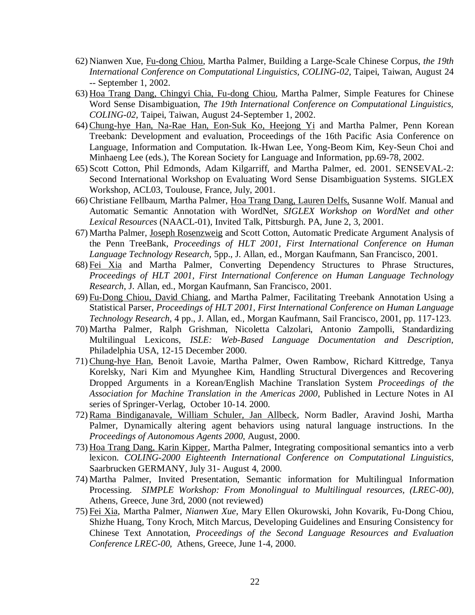- 62) Nianwen Xue, Fu-dong Chiou, Martha Palmer, Building a Large-Scale Chinese Corpus, *the 19th International Conference on Computational Linguistics, COLING-02,* Taipei, Taiwan, August 24 -- September 1, 2002.
- 63) Hoa Trang Dang, Chingyi Chia, Fu-dong Chiou, Martha Palmer, Simple Features for Chinese Word Sense Disambiguation, *The 19th International Conference on Computational Linguistics, COLING-02,* Taipei, Taiwan, August 24-September 1, 2002.
- 64) Chung-hye Han, Na-Rae Han, Eon-Suk Ko, Heejong Yi and Martha Palmer, Penn Korean Treebank: Development and evaluation, Proceedings of the 16th Pacific Asia Conference on Language, Information and Computation. Ik-Hwan Lee, Yong-Beom Kim, Key-Seun Choi and Minhaeng Lee (eds.), The Korean Society for Language and Information, pp.69-78, 2002.
- 65) Scott Cotton, Phil Edmonds, Adam Kilgarriff, and Martha Palmer, ed. 2001. SENSEVAL-2: Second International Workshop on Evaluating Word Sense Disambiguation Systems. SIGLEX Workshop, ACL03, Toulouse, France, July, 2001.
- 66) Christiane Fellbaum, Martha Palmer, Hoa Trang Dang, Lauren Delfs, Susanne Wolf. Manual and Automatic Semantic Annotation with WordNet, *SIGLEX Workshop on WordNet and other Lexical Resources* (NAACL-01), Invited Talk, Pittsburgh. PA, June 2, 3, 2001.
- 67) Martha Palmer, Joseph Rosenzweig and Scott Cotton, Automatic Predicate Argument Analysis of the Penn TreeBank, *Proceedings of HLT 2001, First International Conference on Human Language Technology Research,* 5pp., J. Allan, ed., Morgan Kaufmann, San Francisco, 2001.
- 68) Fei Xia and Martha Palmer, Converting Dependency Structures to Phrase Structures, *Proceedings of HLT 2001, First International Conference on Human Language Technology Research*, J. Allan, ed., Morgan Kaufmann, San Francisco, 2001.
- 69) Fu-Dong Chiou, David Chiang, and Martha Palmer, Facilitating Treebank Annotation Using a Statistical Parser, *Proceedings of HLT 2001, First International Conference on Human Language Technology Research,* 4 pp., J. Allan, ed., Morgan Kaufmann, Sail Francisco, 2001, pp. 117-123.
- 70) Martha Palmer, Ralph Grishman, Nicoletta Calzolari, Antonio Zampolli, Standardizing Multilingual Lexicons, *ISLE: Web-Based Language Documentation and Description,*  Philadelphia USA, 12-15 December 2000.
- 71) Chung-hye Han, Benoit Lavoie, Martha Palmer, Owen Rambow, Richard Kittredge, Tanya Korelsky, Nari Kim and Myunghee Kim, Handling Structural Divergences and Recovering Dropped Arguments in a Korean/English Machine Translation System *Proceedings of the Association for Machine Translation in the Americas 2000*, Published in Lecture Notes in AI series of Springer-Verlag, October 10-14. 2000.
- 72) Rama Bindiganavale, William Schuler, Jan Allbeck, Norm Badler, Aravind Joshi, Martha Palmer, Dynamically altering agent behaviors using natural language instructions. In the *Proceedings of Autonomous Agents 2000,* August, 2000.
- 73) Hoa Trang Dang, Karin Kipper, Martha Palmer, Integrating compositional semantics into a verb lexicon. *COLING-2000 Eighteenth International Conference on Computational Linguistics,*  Saarbrucken GERMANY, July 31- August 4, 2000.
- 74) Martha Palmer, Invited Presentation, Semantic information for Multilingual Information Processing. *SIMPLE Workshop: From Monolingual to Multilingual resources, (LREC-00),* Athens, Greece, June 3rd, 2000 (not reviewed)
- 75) Fei Xia*,* Martha Palmer, *Nianwen Xue*, Mary Ellen Okurowski, John Kovarik, Fu-Dong Chiou, Shizhe Huang, Tony Kroch, Mitch Marcus, Developing Guidelines and Ensuring Consistency for Chinese Text Annotation, *Proceedings of the Second Language Resources and Evaluation Conference LREC-00,* Athens, Greece, June 1-4, 2000.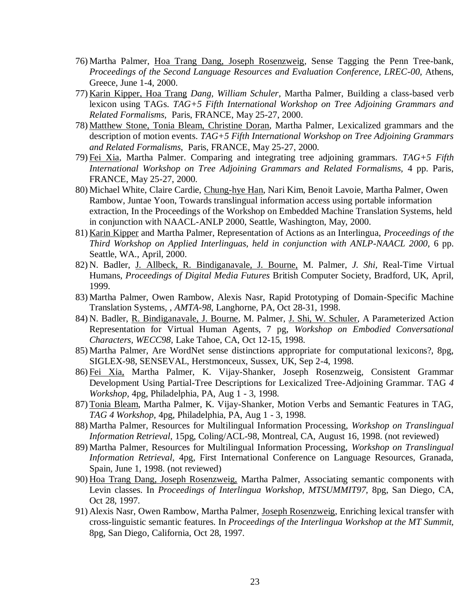- 76) Martha Palmer, Hoa Trang Dang, Joseph Rosenzweig*,* Sense Tagging the Penn Tree-bank, *Proceedings of the Second Language Resources and Evaluation Conference, LREC-00,* Athens, Greece, June 1-4, 2000.
- 77) Karin Kipper, Hoa Trang *Dang, William Schuler*, Martha Palmer, Building a class-based verb lexicon using TAGs. *TAG+5 Fifth International Workshop on Tree Adjoining Grammars and Related Formalisms,* Paris, FRANCE, May 25-27, 2000.
- 78) Matthew Stone, Tonia Bleam, Christine Doran, Martha Palmer, Lexicalized grammars and the description of motion events. *TAG+5 Fifth International Workshop on Tree Adjoining Grammars and Related Formalisms,* Paris, FRANCE, May 25-27, 2000.
- 79) Fei Xia*,* Martha Palmer. Comparing and integrating tree adjoining grammars. *TAG+5 Fifth International Workshop on Tree Adjoining Grammars and Related Formalisms, 4 pp. Paris,* FRANCE, May 25-27, 2000.
- 80) Michael White, Claire Cardie, Chung-hye Han, Nari Kim, Benoit Lavoie, Martha Palmer, Owen Rambow, Juntae Yoon, Towards translingual information access using portable information extraction, In the Proceedings of the Workshop on Embedded Machine Translation Systems, held in conjunction with NAACL-ANLP 2000, Seattle, Washington, May, 2000.
- 81) Karin Kipper and Martha Palmer, Representation of Actions as an Interlingua, *Proceedings of the Third Workshop on Applied Interlinguas, held in conjunction with ANLP-NAACL 2000,* 6 pp. Seattle, WA., April, 2000.
- 82) N. Badler, J. Allbeck, R. Bindiganavale, J. Bourne, M. Palmer, *J. Shi,* Real-Time Virtual Humans, *Proceedings of Digital Media Futures* British Computer Society, Bradford, UK, April, 1999.
- 83) Martha Palmer, Owen Rambow, Alexis Nasr, Rapid Prototyping of Domain-Specific Machine Translation Systems, , *AMTA-98,* Langhorne, PA, Oct 28-31, 1998.
- 84) N. Badler, R. Bindiganavale, J. Bourne, M. Palmer, J. Shi, W. Schuler, A Parameterized Action Representation for Virtual Human Agents, 7 pg, *Workshop on Embodied Conversational Characters, WECC98,* Lake Tahoe, CA, Oct 12-15, 1998.
- 85) Martha Palmer, Are WordNet sense distinctions appropriate for computational lexicons?, 8pg, SIGLEX-98, SENSEVAL, Herstmonceux, Sussex, UK, Sep 2-4, 1998.
- 86) Fei Xia, Martha Palmer, K. Vijay-Shanker, Joseph Rosenzweig, Consistent Grammar Development Using Partial-Tree Descriptions for Lexicalized Tree-Adjoining Grammar. TAG *4 Workshop,* 4pg, Philadelphia, PA, Aug 1 - 3, 1998.
- 87) Tonia Bleam, Martha Palmer, K. Vijay-Shanker, Motion Verbs and Semantic Features in TAG, *TAG 4 Workshop,* 4pg, Philadelphia, PA, Aug 1 - 3, 1998.
- 88) Martha Palmer, Resources for Multilingual Information Processing, *Workshop on Translingual Information Retrieval,* 15pg, Coling/ACL-98, Montreal, CA, August 16, 1998. (not reviewed)
- 89) Martha Palmer, Resources for Multilingual Information Processing, *Workshop on Translingual Information Retrieval,* 4pg, First International Conference on Language Resources, Granada, Spain, June 1, 1998. (not reviewed)
- 90) Hoa Trang Dang, Joseph Rosenzweig, Martha Palmer, Associating semantic components with Levin classes. In *Proceedings of Interlingua Workshop, MTSUMMIT97,* 8pg, San Diego, CA, Oct 28, 1997.
- 91) Alexis Nasr, Owen Rambow, Martha Palmer, Joseph Rosenzweig, Enriching lexical transfer with cross-linguistic semantic features. In *Proceedings of the Interlingua Workshop at the MT Summit,* 8pg, San Diego, California, Oct 28, 1997.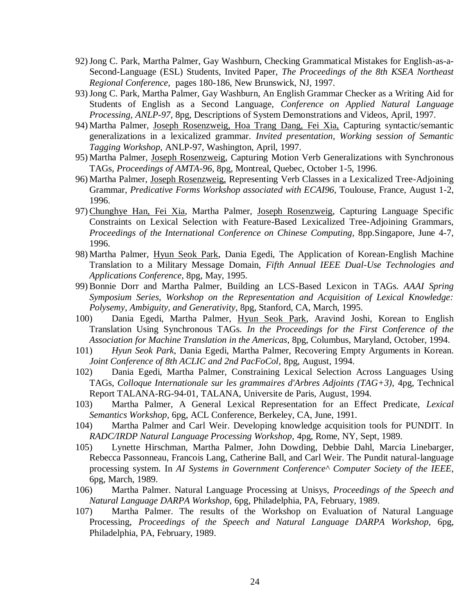- 92)Jong C. Park, Martha Palmer, Gay Washburn, Checking Grammatical Mistakes for English-as-a-Second-Language (ESL) Students, Invited Paper, *The Proceedings of the 8th KSEA Northeast Regional Conference,* pages 180-186, New Brunswick, NJ, 1997.
- 93)Jong C. Park, Martha Palmer, Gay Washburn, An English Grammar Checker as a Writing Aid for Students of English as a Second Language, *Conference on Applied Natural Language Processing, ANLP-97,* 8pg, Descriptions of System Demonstrations and Videos, April, 1997.
- 94) Martha Palmer, Joseph Rosenzweig, Hoa Trang Dang, Fei Xia, Capturing syntactic/semantic generalizations in a lexicalized grammar. *Invited presentation, Working session of Semantic Tagging Workshop,* ANLP-97, Washington, April, 1997.
- 95) Martha Palmer, Joseph Rosenzweig, Capturing Motion Verb Generalizations with Synchronous TAGs, *Proceedings of AMTA-96,* 8pg, Montreal, Quebec, October 1-5, 1996.
- 96) Martha Palmer, Joseph Rosenzweig, Representing Verb Classes in a Lexicalized Tree-Adjoining Grammar, *Predicative Forms Workshop associated with ECAI96,* Toulouse, France, August 1-2, 1996.
- 97) Chunghye Han, Fei Xia, Martha Palmer, Joseph Rosenzweig, Capturing Language Specific Constraints on Lexical Selection with Feature-Based Lexicalized Tree-Adjoining Grammars, *Proceedings of the International Conference on Chinese Computing,* 8pp.Singapore, June 4-7, 1996.
- 98) Martha Palmer, Hyun Seok Park, Dania Egedi, The Application of Korean-English Machine Translation to a Military Message Domain, *Fifth Annual IEEE Dual-Use Technologies and Applications Conference,* 8pg, May, 1995.
- 99) Bonnie Dorr and Martha Palmer, Building an LCS-Based Lexicon in TAGs. *AAAI Spring Symposium Series, Workshop on the Representation and Acquisition of Lexical Knowledge: Polysemy, Ambiguity, and Generativity*, 8pg, Stanford, CA, March, 1995.
- 100) Dania Egedi, Martha Palmer, Hyun Seok Park, Aravind Joshi, Korean to English Translation Using Synchronous TAGs*. In the Proceedings for the First Conference of the Association for Machine Translation in the Americas*, 8pg, Columbus, Maryland, October, 1994.
- 101) *Hyun Seok Park*, Dania Egedi, Martha Palmer, Recovering Empty Arguments in Korean. *Joint Conference of 8th ACLIC and 2nd PacFoCol,* 8pg, August, 1994.
- 102) Dania Egedi, Martha Palmer, Constraining Lexical Selection Across Languages Using TAGs, *Colloque Internationale sur les grammaires d'Arbres Adjoints (TAG+3),* 4pg, Technical Report TALANA-RG-94-01, TALANA, Universite de Paris, August, 1994.
- 103) Martha Palmer, A General Lexical Representation for an Effect Predicate, *Lexical Semantics Workshop,* 6pg, ACL Conference, Berkeley, CA, June, 1991.
- 104) Martha Palmer and Carl Weir. Developing knowledge acquisition tools for PUNDIT. In *RADC/IRDP Natural Language Processing Workshop,* 4pg, Rome, NY, Sept, 1989.
- 105) Lynette Hirschman, Martha Palmer, John Dowding, Debbie Dahl, Marcia Linebarger, Rebecca Passonneau, Francois Lang, Catherine Ball, and Carl Weir. The Pundit natural-language processing system. In *AI Systems in Government Conference^ Computer Society of the IEEE,* 6pg, March, 1989.
- 106) Martha Palmer. Natural Language Processing at Unisys, *Proceedings of the Speech and Natural Language DARPA Workshop,* 6pg, Philadelphia, PA, February, 1989.
- 107) Martha Palmer. The results of the Workshop on Evaluation of Natural Language Processing, *Proceedings of the Speech and Natural Language DARPA Workshop,* 6pg, Philadelphia, PA, February, 1989.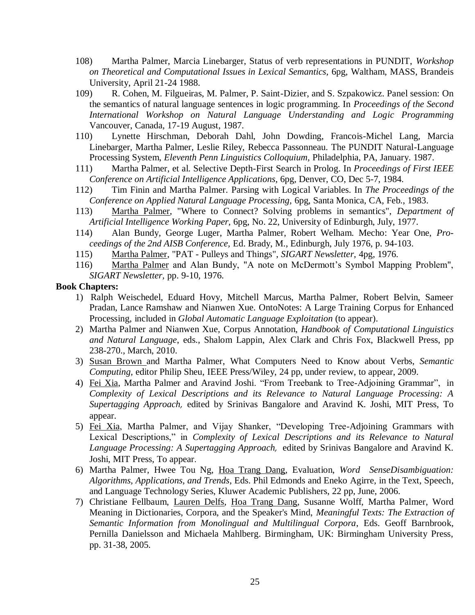- 108) Martha Palmer, Marcia Linebarger, Status of verb representations in PUNDIT, *Workshop on Theoretical and Computational Issues in Lexical Semantics,* 6pg, Waltham, MASS, Brandeis University, April 21-24 1988.
- 109) R. Cohen, M. Filgueiras, M. Palmer, P. Saint-Dizier, and S. Szpakowicz. Panel session: On the semantics of natural language sentences in logic programming. In *Proceedings of the Second International Workshop on Natural Language Understanding and Logic Programming* Vancouver, Canada, 17-19 August, 1987.
- 110) Lynette Hirschman, Deborah Dahl, John Dowding, Francois-Michel Lang, Marcia Linebarger, Martha Palmer, Leslie Riley, Rebecca Passonneau. The PUNDIT Natural-Language Processing System, *Eleventh Penn Linguistics Colloquium,* Philadelphia, PA, January. 1987.
- 111) Martha Palmer, et al. Selective Depth-First Search in Prolog. In *Proceedings of First IEEE Conference on Artificial Intelligence Applications,* 6pg, Denver, CO, Dec 5-7, 1984.
- 112) Tim Finin and Martha Palmer. Parsing with Logical Variables. In *The Proceedings of the Conference on Applied Natural Language Processing,* 6pg, Santa Monica, CA, Feb., 1983.
- 113) Martha Palmer, "Where to Connect? Solving problems in semantics", *Department of Artificial Intelligence Working Paper,* 6pg, No. 22, University of Edinburgh, July, 1977.
- 114) Alan Bundy, George Luger, Martha Palmer, Robert Welham. Mecho: Year One, *Proceedings of the 2nd AISB Conference,* Ed. Brady, M., Edinburgh, July 1976, p. 94-103.
- 115) Martha Palmer, "PAT Pulleys and Things", *SIGART Newsletter,* 4pg, 1976.
- 116) Martha Palmer and Alan Bundy, "A note on McDermott's Symbol Mapping Problem", *SIGART Newsletter,* pp. 9-10, 1976.

#### **Book Chapters:**

- 1) Ralph Weischedel, Eduard Hovy, Mitchell Marcus, Martha Palmer, Robert Belvin, Sameer Pradan, Lance Ramshaw and Nianwen Xue. OntoNotes: A Large Training Corpus for Enhanced Processing, included in *Global Automatic Language Exploitation* (to appear).
- 2) Martha Palmer and Nianwen Xue, Corpus Annotation, *Handbook of Computational Linguistics and Natural Language*, eds., Shalom Lappin, Alex Clark and Chris Fox, Blackwell Press, pp 238-270., March, 2010.
- 3) Susan Brown and Martha Palmer, What Computers Need to Know about Verbs, *Semantic Computing,* editor Philip Sheu, IEEE Press/Wiley, 24 pp, under review, to appear, 2009.
- 4) Fei Xia, Martha Palmer and Aravind Joshi. "From Treebank to Tree-Adjoining Grammar", in *Complexity of Lexical Descriptions and its Relevance to Natural Language Processing: A Supertagging Approach,* edited by Srinivas Bangalore and Aravind K. Joshi, MIT Press, To appear.
- 5) Fei Xia, Martha Palmer, and Vijay Shanker, "Developing Tree-Adjoining Grammars with Lexical Descriptions," in *Complexity of Lexical Descriptions and its Relevance to Natural Language Processing: A Supertagging Approach,* edited by Srinivas Bangalore and Aravind K. Joshi, MIT Press, To appear.
- 6) Martha Palmer, Hwee Tou Ng, Hoa Trang Dang, Evaluation, *Word SenseDisambiguation: Algorithms, Applications, and Trends*, Eds. Phil Edmonds and Eneko Agirre, in the Text, Speech, and Language Technology Series, Kluwer Academic Publishers, 22 pp, June, 2006.
- 7) Christiane Fellbaum, Lauren Delfs, Hoa Trang Dang, Susanne Wolff, Martha Palmer, Word Meaning in Dictionaries, Corpora, and the Speaker's Mind, *Meaningful Texts: The Extraction of Semantic Information from Monolingual and Multilingual Corpora*, Eds. Geoff Barnbrook, Pernilla Danielsson and Michaela Mahlberg. Birmingham, UK: Birmingham University Press, pp. 31-38, 2005.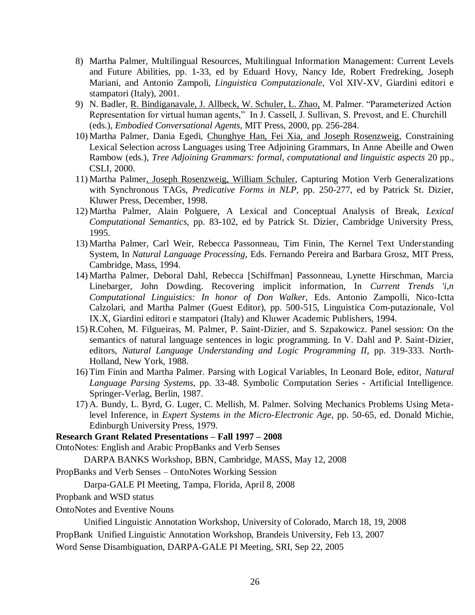- 8) Martha Palmer, Multilingual Resources, Multilingual Information Management: Current Levels and Future Abilities, pp. 1-33, ed by Eduard Hovy, Nancy Ide, Robert Fredreking, Joseph Mariani, and Antonio Zampoli, *Linguistica Computazionale*, Vol XIV-XV, Giardini editori e stampatori (Italy), 2001.
- 9) N. Badler, R. Bindiganavale, J. Allbeck, W. Schuler, L. Zhao, M. Palmer. "Parameterized Action Representation for virtual human agents," In J. Cassell, J. Sullivan, S. Prevost, and E. Churchill (eds.), *Embodied Conversational Agents,* MIT Press, 2000, pp. 256-284.
- 10) Martha Palmer, Dania Egedi, Chunghye Han, Fei Xia, and Joseph Rosenzweig, Constraining Lexical Selection across Languages using Tree Adjoining Grammars, In Anne Abeille and Owen Rambow (eds.), *Tree Adjoining Grammars: formal, computational and linguistic aspects* 20 pp., CSLI, 2000.
- 11) Martha Palmer, Joseph Rosenzweig, William Schuler, Capturing Motion Verb Generalizations with Synchronous TAGs, *Predicative Forms in NLP,* pp. 250-277, ed by Patrick St. Dizier, Kluwer Press, December, 1998.
- 12) Martha Palmer, Alain Polguere, A Lexical and Conceptual Analysis of Break, *Lexical Computational Semantics,* pp. 83-102, ed by Patrick St. Dizier, Cambridge University Press, 1995.
- 13) Martha Palmer, Carl Weir, Rebecca Passonneau, Tim Finin, The Kernel Text Understanding System, In *Natural Language Processing*, Eds. Fernando Pereira and Barbara Grosz, MIT Press, Cambridge, Mass, 1994.
- 14) Martha Palmer, Deboral Dahl, Rebecca [Schiffman] Passonneau, Lynette Hirschman, Marcia Linebarger, John Dowding. Recovering implicit information, In *Current Trends 'i,n Computational Linguistics: In honor of Don Walker,* Eds. Antonio Zampolli, Nico-Ictta Calzolari, and Martha Palmer (Guest Editor), pp. 500-515, Linguistica Com-putazionale, Vol IX.X, Giardini editori e stampatori (Italy) and Kluwer Academic Publishers, 1994.
- 15) R.Cohen, M. Filgueiras, M. Palmer, P. Saint-Dizier, and S. Szpakowicz. Panel session: On the semantics of natural language sentences in logic programming. In V. Dahl and P. Saint-Dizier, editors, *Natural Language Understanding and Logic Programming II,* pp. 319-333. North-Holland, New York, 1988.
- 16) Tim Finin and Martha Palmer. Parsing with Logical Variables, In Leonard Bole, editor, *Natural Language Parsing Systems,* pp. 33-48. Symbolic Computation Series - Artificial Intelligence. Springer-Verlag, Berlin, 1987.
- 17) A. Bundy, L. Byrd, G. Luger, C. Mellish, M. Palmer. Solving Mechanics Problems Using Metalevel Inference, in *Expert Systems in the Micro-Electronic Age,* pp. 50-65, ed. Donald Michie, Edinburgh University Press, 1979.

#### **Research Grant Related Presentations – Fall 1997 – 2008**

OntoNotes: English and Arabic PropBanks and Verb Senses

DARPA BANKS Workshop, BBN, Cambridge, MASS, May 12, 2008

PropBanks and Verb Senses – OntoNotes Working Session

Darpa-GALE PI Meeting, Tampa, Florida, April 8, 2008

- Propbank and WSD status
- OntoNotes and Eventive Nouns

Unified Linguistic Annotation Workshop, University of Colorado, March 18, 19, 2008

PropBank Unified Linguistic Annotation Workshop, Brandeis University, Feb 13, 2007

Word Sense Disambiguation, DARPA-GALE PI Meeting, SRI, Sep 22, 2005